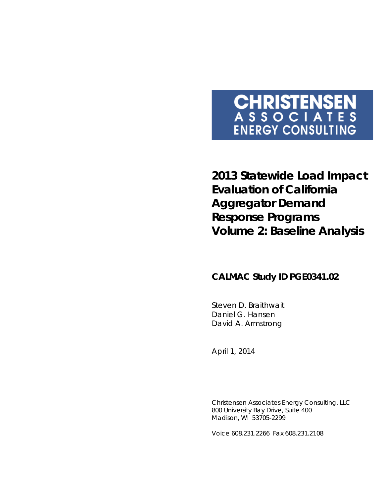# **CHRISTENSEN**<br>ASSOCIATES **ENERGY CONSULTING**

**2013 Statewide Load Impact Evaluation of California Aggregator Demand Response Programs Volume 2: Baseline Analysis**

# **CALMAC Study ID PGE0341.02**

Steven D. Braithwait Daniel G. Hansen David A. Armstrong

*April 1, 2014*

Christensen Associates Energy Consulting, LLC 800 University Bay Drive, Suite 400 Madison, WI 53705-2299

Voice 608.231.2266 Fax 608.231.2108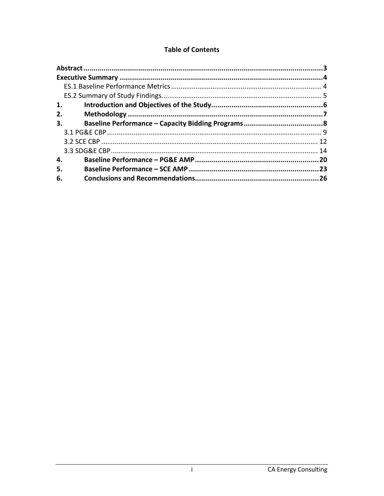# **Table of Contents**

| 1. |  |
|----|--|
| 2. |  |
| 3. |  |
|    |  |
|    |  |
|    |  |
| 4. |  |
| 5. |  |
| 6. |  |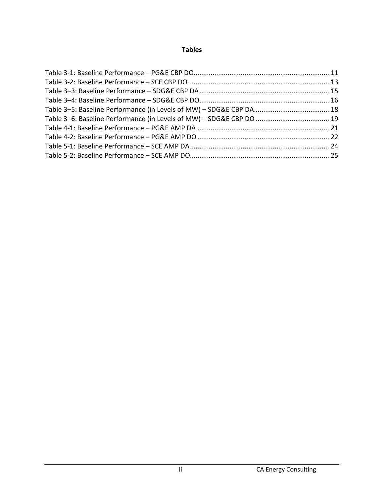# **Tables**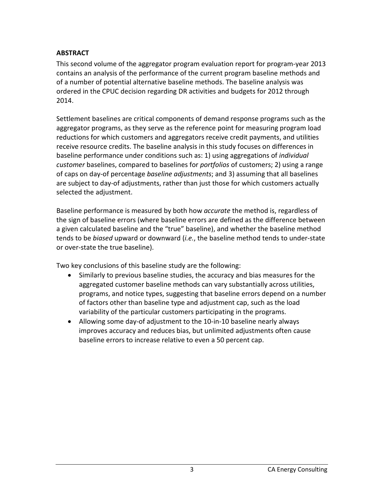## <span id="page-3-0"></span>**ABSTRACT**

This second volume of the aggregator program evaluation report for program-year 2013 contains an analysis of the performance of the current program baseline methods and of a number of potential alternative baseline methods. The baseline analysis was ordered in the CPUC decision regarding DR activities and budgets for 2012 through 2014.

Settlement baselines are critical components of demand response programs such as the aggregator programs, as they serve as the reference point for measuring program load reductions for which customers and aggregators receive credit payments, and utilities receive resource credits. The baseline analysis in this study focuses on differences in baseline performance under conditions such as: 1) using aggregations of *individual customer* baselines, compared to baselines for *portfolios* of customers; 2) using a range of caps on day-of percentage *baseline adjustments*; and 3) assuming that all baselines are subject to day-of adjustments, rather than just those for which customers actually selected the adjustment.

Baseline performance is measured by both how *accurate* the method is, regardless of the sign of baseline errors (where baseline errors are defined as the difference between a given calculated baseline and the "true" baseline), and whether the baseline method tends to be *biased* upward or downward (*i.e.*, the baseline method tends to under-state or over-state the true baseline).

Two key conclusions of this baseline study are the following:

- Similarly to previous baseline studies, the accuracy and bias measures for the aggregated customer baseline methods can vary substantially across utilities, programs, and notice types, suggesting that baseline errors depend on a number of factors other than baseline type and adjustment cap, such as the load variability of the particular customers participating in the programs.
- Allowing some day-of adjustment to the 10-in-10 baseline nearly always improves accuracy and reduces bias, but unlimited adjustments often cause baseline errors to increase relative to even a 50 percent cap.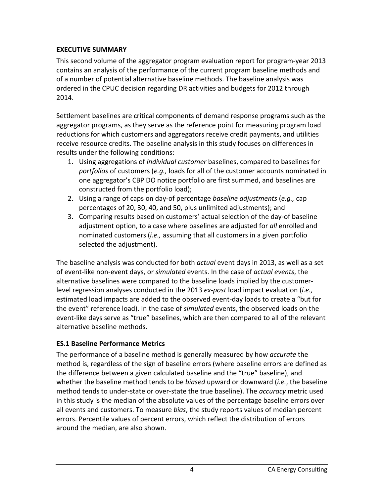# <span id="page-4-0"></span>**EXECUTIVE SUMMARY**

This second volume of the aggregator program evaluation report for program-year 2013 contains an analysis of the performance of the current program baseline methods and of a number of potential alternative baseline methods. The baseline analysis was ordered in the CPUC decision regarding DR activities and budgets for 2012 through 2014.

Settlement baselines are critical components of demand response programs such as the aggregator programs, as they serve as the reference point for measuring program load reductions for which customers and aggregators receive credit payments, and utilities receive resource credits. The baseline analysis in this study focuses on differences in results under the following conditions:

- 1. Using aggregations of *individual customer* baselines, compared to baselines for *portfolios* of customers (*e.g.,* loads for all of the customer accounts nominated in one aggregator's CBP DO notice portfolio are first summed, and baselines are constructed from the portfolio load);
- 2. Using a range of caps on day-of percentage *baseline adjustments* (*e.g.,* cap percentages of 20, 30, 40, and 50, plus unlimited adjustments); and
- 3. Comparing results based on customers' actual selection of the day-of baseline adjustment option, to a case where baselines are adjusted for *all* enrolled and nominated customers (*i.e.,* assuming that all customers in a given portfolio selected the adjustment).

The baseline analysis was conducted for both *actual* event days in 2013, as well as a set of event-like non-event days, or *simulated* events. In the case of *actual events*, the alternative baselines were compared to the baseline loads implied by the customerlevel regression analyses conducted in the 2013 *ex-post* load impact evaluation (*i.e.,* estimated load impacts are added to the observed event-day loads to create a "but for the event" reference load). In the case of *simulated* events, the observed loads on the event-like days serve as "true" baselines, which are then compared to all of the relevant alternative baseline methods.

# <span id="page-4-1"></span>**ES.1 Baseline Performance Metrics**

The performance of a baseline method is generally measured by how *accurate* the method is, regardless of the sign of baseline errors (where baseline errors are defined as the difference between a given calculated baseline and the "true" baseline), and whether the baseline method tends to be *biased* upward or downward (*i.e.*, the baseline method tends to under-state or over-state the true baseline). The *accuracy* metric used in this study is the median of the absolute values of the percentage baseline errors over all events and customers. To measure *bias*, the study reports values of median percent errors. Percentile values of percent errors, which reflect the distribution of errors around the median, are also shown.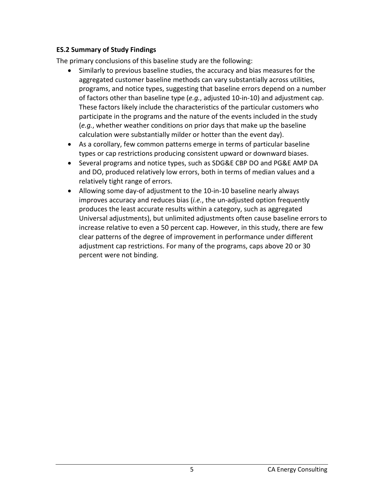## <span id="page-5-0"></span>**ES.2 Summary of Study Findings**

The primary conclusions of this baseline study are the following:

- Similarly to previous baseline studies, the accuracy and bias measures for the aggregated customer baseline methods can vary substantially across utilities, programs, and notice types, suggesting that baseline errors depend on a number of factors other than baseline type (*e.g.*, adjusted 10-in-10) and adjustment cap. These factors likely include the characteristics of the particular customers who participate in the programs and the nature of the events included in the study (*e.g.*, whether weather conditions on prior days that make up the baseline calculation were substantially milder or hotter than the event day).
- As a corollary, few common patterns emerge in terms of particular baseline types or cap restrictions producing consistent upward or downward biases.
- Several programs and notice types, such as SDG&E CBP DO and PG&E AMP DA and DO, produced relatively low errors, both in terms of median values and a relatively tight range of errors.
- Allowing some day-of adjustment to the 10-in-10 baseline nearly always improves accuracy and reduces bias (*i.e.*, the un-adjusted option frequently produces the least accurate results within a category, such as aggregated Universal adjustments), but unlimited adjustments often cause baseline errors to increase relative to even a 50 percent cap. However, in this study, there are few clear patterns of the degree of improvement in performance under different adjustment cap restrictions. For many of the programs, caps above 20 or 30 percent were not binding.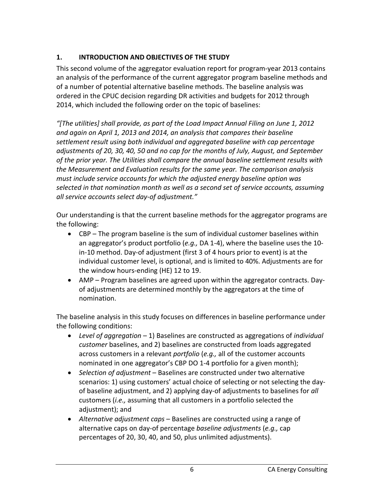# <span id="page-6-0"></span>**1. INTRODUCTION AND OBJECTIVES OF THE STUDY**

This second volume of the aggregator evaluation report for program-year 2013 contains an analysis of the performance of the current aggregator program baseline methods and of a number of potential alternative baseline methods. The baseline analysis was ordered in the CPUC decision regarding DR activities and budgets for 2012 through 2014, which included the following order on the topic of baselines:

*"[The utilities] shall provide, as part of the Load Impact Annual Filing on June 1, 2012 and again on April 1, 2013 and 2014, an analysis that compares their baseline settlement result using both individual and aggregated baseline with cap percentage adjustments of 20, 30, 40, 50 and no cap for the months of July, August, and September of the prior year. The Utilities shall compare the annual baseline settlement results with the Measurement and Evaluation results for the same year. The comparison analysis must include service accounts for which the adjusted energy baseline option was selected in that nomination month as well as a second set of service accounts, assuming all service accounts select day-of adjustment."*

Our understanding is that the current baseline methods for the aggregator programs are the following:

- CBP The program baseline is the sum of individual customer baselines within an aggregator's product portfolio (*e.g.,* DA 1-4), where the baseline uses the 10 in-10 method. Day-of adjustment (first 3 of 4 hours prior to event) is at the individual customer level, is optional, and is limited to 40%. Adjustments are for the window hours-ending (HE) 12 to 19.
- AMP Program baselines are agreed upon within the aggregator contracts. Dayof adjustments are determined monthly by the aggregators at the time of nomination.

The baseline analysis in this study focuses on differences in baseline performance under the following conditions:

- *Level of aggregation* 1) Baselines are constructed as aggregations of *individual customer* baselines, and 2) baselines are constructed from loads aggregated across customers in a relevant *portfolio* (*e.g.,* all of the customer accounts nominated in one aggregator's CBP DO 1-4 portfolio for a given month);
- *Selection of adjustment* Baselines are constructed under two alternative scenarios: 1) using customers' actual choice of selecting or not selecting the dayof baseline adjustment, and 2) applying day-of adjustments to baselines for *all* customers (*i.e.,* assuming that all customers in a portfolio selected the adjustment); and
- *Alternative adjustment caps* Baselines are constructed using a range of alternative caps on day-of percentage *baseline adjustments* (*e.g.,* cap percentages of 20, 30, 40, and 50, plus unlimited adjustments).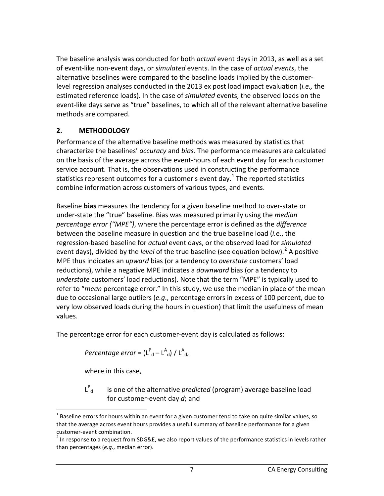The baseline analysis was conducted for both *actual* event days in 2013, as well as a set of event-like non-event days, or *simulated* events. In the case of *actual events*, the alternative baselines were compared to the baseline loads implied by the customerlevel regression analyses conducted in the 2013 ex post load impact evaluation (*i.e.,* the estimated reference loads). In the case of *simulated* events, the observed loads on the event-like days serve as "true" baselines, to which all of the relevant alternative baseline methods are compared.

# <span id="page-7-0"></span>**2. METHODOLOGY**

Performance of the alternative baseline methods was measured by statistics that characterize the baselines' *accuracy* and *bias*. The performance measures are calculated on the basis of the average across the event-hours of each event day for each customer service account. That is, the observations used in constructing the performance statistics represent outcomes for a customer's event day.<sup>[1](#page-7-1)</sup> The reported statistics combine information across customers of various types, and events.

Baseline **bias** measures the tendency for a given baseline method to over-state or under-state the "true" baseline. Bias was measured primarily using the *median percentage error ("MPE")*, where the percentage error is defined as the *difference* between the baseline measure in question and the true baseline load (*i.*e., the regression-based baseline for *actual* event days, or the observed load for *simulated* event days), divided by the *level* of the true baseline (see equation below). [2](#page-7-2) A positive MPE thus indicates an *upward* bias (or a tendency to *overstate* customers' load reductions), while a negative MPE indicates a *downward* bias (or a tendency to *understate* customers' load reductions). Note that the term "MPE" is typically used to refer to "*mean* percentage error." In this study, we use the median in place of the mean due to occasional large outliers (*e.g*., percentage errors in excess of 100 percent, due to very low observed loads during the hours in question) that limit the usefulness of mean values.

The percentage error for each customer-event day is calculated as follows:

 $Percentage\ error = (L^P_{\ d} - L^A_{\ d}) \bigm/ L^A_{\ d},$ 

where in this case,

L P

is one of the alternative *predicted* (program) average baseline load for customer-event day *d*; and

<span id="page-7-1"></span> $<sup>1</sup>$  Baseline errors for hours within an event for a given customer tend to take on quite similar values, so</sup> that the average across event hours provides a useful summary of baseline performance for a given

<span id="page-7-2"></span>customer-event combination.<br><sup>2</sup> In response to a request from SDG&E, we also report values of the performance statistics in levels rather than percentages (*e.g.*, median error).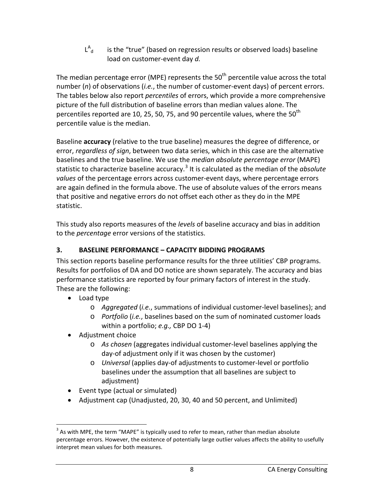$L^A$ is the "true" (based on regression results or observed loads) baseline load on customer-event day *d.*

The median percentage error (MPE) represents the  $50<sup>th</sup>$  percentile value across the total number (*n*) of observations (*i.e.*, the number of customer-event days) of percent errors. The tables below also report *percentiles* of errors, which provide a more comprehensive picture of the full distribution of baseline errors than median values alone. The percentiles reported are 10, 25, 50, 75, and 90 percentile values, where the  $50^{th}$ percentile value is the median.

Baseline **accuracy** (relative to the true baseline) measures the degree of difference, or error, *regardless of sign*, between two data series, which in this case are the alternative baselines and the true baseline. We use the *median absolute percentage error* (MAPE) statistic to characterize baseline accuracy. [3](#page-8-1) It is calculated as the median of the *absolute values* of the percentage errors across customer-event days, where percentage errors are again defined in the formula above. The use of absolute values of the errors means that positive and negative errors do not offset each other as they do in the MPE statistic.

This study also reports measures of the *levels* of baseline accuracy and bias in addition to the *percentage* error versions of the statistics.

# <span id="page-8-0"></span>**3. BASELINE PERFORMANCE – CAPACITY BIDDING PROGRAMS**

This section reports baseline performance results for the three utilities' CBP programs. Results for portfolios of DA and DO notice are shown separately. The accuracy and bias performance statistics are reported by four primary factors of interest in the study. These are the following:

- Load type
	- o *Aggregated* (*i.e.*, summations of individual customer-level baselines); and
	- o *Portfolio* (*i.e.*, baselines based on the sum of nominated customer loads within a portfolio; *e.g.,* CBP DO 1-4)
- Adjustment choice
	- o *As chosen* (aggregates individual customer-level baselines applying the day-of adjustment only if it was chosen by the customer)
	- o *Universal* (applies day-of adjustments to customer-level or portfolio baselines under the assumption that all baselines are subject to adjustment)
- Event type (actual or simulated)
- Adjustment cap (Unadjusted, 20, 30, 40 and 50 percent, and Unlimited)

<span id="page-8-1"></span> $3$  As with MPE, the term "MAPE" is typically used to refer to mean, rather than median absolute percentage errors. However, the existence of potentially large outlier values affects the ability to usefully interpret mean values for both measures.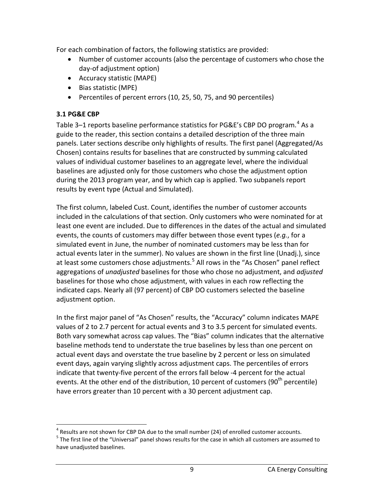For each combination of factors, the following statistics are provided:

- Number of customer accounts (also the percentage of customers who chose the day-of adjustment option)
- Accuracy statistic (MAPE)
- Bias statistic (MPE)
- Percentiles of percent errors (10, 25, 50, 75, and 90 percentiles)

## <span id="page-9-0"></span>**3.1 PG&E CBP**

Table 3–1 reports baseline performance statistics for PG&E's CBP DO program.<sup>[4](#page-9-1)</sup> As a guide to the reader, this section contains a detailed description of the three main panels. Later sections describe only highlights of results. The first panel (Aggregated/As Chosen) contains results for baselines that are constructed by summing calculated values of individual customer baselines to an aggregate level, where the individual baselines are adjusted only for those customers who chose the adjustment option during the 2013 program year, and by which cap is applied. Two subpanels report results by event type (Actual and Simulated).

The first column, labeled Cust. Count, identifies the number of customer accounts included in the calculations of that section. Only customers who were nominated for at least one event are included. Due to differences in the dates of the actual and simulated events, the counts of customers may differ between those event types (*e.g.*, for a simulated event in June, the number of nominated customers may be less than for actual events later in the summer). No values are shown in the first line (Unadj.), since at least some customers chose adjustments.<sup>[5](#page-9-2)</sup> All rows in the "As Chosen" panel reflect aggregations of *unadjusted* baselines for those who chose no adjustment, and *adjusted* baselines for those who chose adjustment, with values in each row reflecting the indicated caps. Nearly all (97 percent) of CBP DO customers selected the baseline adjustment option.

In the first major panel of "As Chosen" results, the "Accuracy" column indicates MAPE values of 2 to 2.7 percent for actual events and 3 to 3.5 percent for simulated events. Both vary somewhat across cap values. The "Bias" column indicates that the alternative baseline methods tend to understate the true baselines by less than one percent on actual event days and overstate the true baseline by 2 percent or less on simulated event days, again varying slightly across adjustment caps. The percentiles of errors indicate that twenty-five percent of the errors fall below -4 percent for the actual events. At the other end of the distribution, 10 percent of customers (90<sup>th</sup> percentile) have errors greater than 10 percent with a 30 percent adjustment cap.

<span id="page-9-1"></span><sup>&</sup>lt;sup>4</sup> Results are not shown for CBP DA due to the small number (24) of enrolled customer accounts.<br><sup>5</sup> The first line of the "Universal" panel shows results for the case in which all customers are assumed to

<span id="page-9-2"></span>have unadjusted baselines.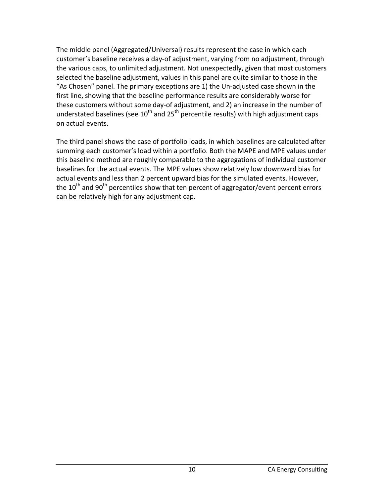The middle panel (Aggregated/Universal) results represent the case in which each customer's baseline receives a day-of adjustment, varying from no adjustment, through the various caps, to unlimited adjustment. Not unexpectedly, given that most customers selected the baseline adjustment, values in this panel are quite similar to those in the "As Chosen" panel. The primary exceptions are 1) the Un-adjusted case shown in the first line, showing that the baseline performance results are considerably worse for these customers without some day-of adjustment, and 2) an increase in the number of understated baselines (see  $10^{th}$  and  $25^{th}$  percentile results) with high adjustment caps on actual events.

The third panel shows the case of portfolio loads, in which baselines are calculated after summing each customer's load within a portfolio. Both the MAPE and MPE values under this baseline method are roughly comparable to the aggregations of individual customer baselines for the actual events. The MPE values show relatively low downward bias for actual events and less than 2 percent upward bias for the simulated events. However, the 10<sup>th</sup> and 90<sup>th</sup> percentiles show that ten percent of aggregator/event percent errors can be relatively high for any adjustment cap.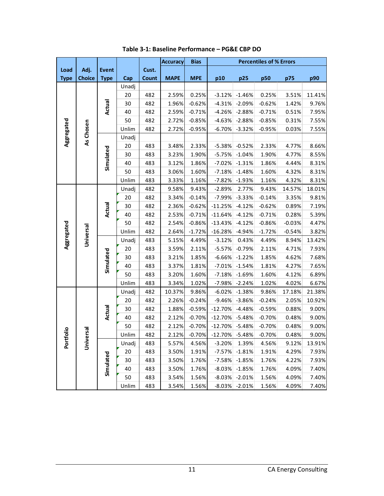<span id="page-11-0"></span>

|             |                                                    |               |       |       | <b>Accuracy</b> | <b>Bias</b> | <b>Percentiles of % Errors</b> |          |          |          |        |
|-------------|----------------------------------------------------|---------------|-------|-------|-----------------|-------------|--------------------------------|----------|----------|----------|--------|
| Load        | Adj.                                               | <b>Event</b>  |       | Cust. |                 |             |                                |          |          |          |        |
| <b>Type</b> | <b>Choice</b>                                      | <b>Type</b>   | Cap   | Count | <b>MAPE</b>     | <b>MPE</b>  | p10                            | p25      | p50      | p75      | p90    |
|             |                                                    |               | Unadj |       |                 |             |                                |          |          |          |        |
|             | Aggregated<br>As Chosen<br>Aggregated<br>Universal |               | 20    | 482   | 2.59%           | 0.25%       | $-3.12%$                       | $-1.46%$ | 0.25%    | 3.51%    | 11.41% |
|             |                                                    | <b>Actual</b> | 30    | 482   | 1.96%           | $-0.62%$    | $-4.31%$                       | $-2.09%$ | $-0.62%$ | 1.42%    | 9.76%  |
|             |                                                    |               | 40    | 482   | 2.59%           | $-0.71%$    | $-4.26%$                       | $-2.88%$ | $-0.71%$ | 0.51%    | 7.95%  |
|             |                                                    |               | 50    | 482   | 2.72%           | $-0.85%$    | $-4.63%$                       | $-2.88%$ | $-0.85%$ | 0.31%    | 7.55%  |
|             |                                                    |               | Unlim | 482   | 2.72%           | $-0.95%$    | $-6.70%$                       | $-3.32%$ | $-0.95%$ | 0.03%    | 7.55%  |
|             |                                                    |               | Unadj |       |                 |             |                                |          |          |          |        |
|             |                                                    |               | 20    | 483   | 3.48%           | 2.33%       | $-5.38%$                       | $-0.52%$ | 2.33%    | 4.77%    | 8.66%  |
|             |                                                    |               | 30    | 483   | 3.23%           | 1.90%       | $-5.75%$                       | $-1.04%$ | 1.90%    | 4.77%    | 8.55%  |
|             |                                                    | Simulated     | 40    | 483   | 3.12%           | 1.86%       | $-7.02%$                       | $-1.31%$ | 1.86%    | 4.44%    | 8.31%  |
|             |                                                    |               | 50    | 483   | 3.06%           | 1.60%       | $-7.18%$                       | $-1.48%$ | 1.60%    | 4.32%    | 8.31%  |
|             |                                                    |               | Unlim | 483   | 3.33%           | 1.16%       | $-7.82%$                       | $-1.93%$ | 1.16%    | 4.32%    | 8.31%  |
|             |                                                    |               | Unadj | 482   | 9.58%           | 9.43%       | $-2.89%$                       | 2.77%    | 9.43%    | 14.57%   | 18.01% |
|             |                                                    |               | 20    | 482   | 3.34%           | $-0.14%$    | $-7.99%$                       | $-3.33%$ | $-0.14%$ | 3.35%    | 9.81%  |
|             |                                                    | <b>Actual</b> | 30    | 482   | 2.36%           | $-0.62%$    | $-11.25%$                      | $-4.12%$ | $-0.62%$ | 0.89%    | 7.19%  |
|             |                                                    |               | 40    | 482   | 2.53%           | $-0.71%$    | $-11.64%$                      | $-4.12%$ | $-0.71%$ | 0.28%    | 5.39%  |
|             |                                                    |               | 50    | 482   | 2.54%           | $-0.86%$    | $-13.43%$                      | $-4.12%$ | $-0.86%$ | $-0.03%$ | 4.47%  |
|             |                                                    |               | Unlim | 482   | 2.64%           | $-1.72%$    | $-16.28%$                      | $-4.94%$ | $-1.72%$ | $-0.54%$ | 3.82%  |
|             |                                                    |               | Unadj | 483   | 5.15%           | 4.49%       | $-3.12%$                       | 0.43%    | 4.49%    | 8.94%    | 13.42% |
|             |                                                    |               | 20    | 483   | 3.59%           | 2.11%       | $-5.57%$                       | $-0.79%$ | 2.11%    | 4.71%    | 7.93%  |
|             |                                                    |               | 30    | 483   | 3.21%           | 1.85%       | $-6.66%$                       | $-1.22%$ | 1.85%    | 4.62%    | 7.68%  |
|             |                                                    | Simulated     | 40    | 483   | 3.37%           | 1.81%       | $-7.01%$                       | $-1.54%$ | 1.81%    | 4.27%    | 7.65%  |
|             |                                                    |               | 50    | 483   | 3.20%           | 1.60%       | $-7.18%$                       | $-1.69%$ | 1.60%    | 4.12%    | 6.89%  |
|             |                                                    |               | Unlim | 483   | 3.34%           | 1.02%       | $-7.98%$                       | $-2.24%$ | 1.02%    | 4.02%    | 6.67%  |
|             |                                                    |               | Unadj | 482   | 10.37%          | 9.86%       | $-6.02%$                       | $-1.38%$ | 9.86%    | 17.18%   | 21.38% |
|             |                                                    |               | 20    | 482   | 2.26%           | $-0.24%$    | $-9.46%$                       | $-3.86%$ | $-0.24%$ | 2.05%    | 10.92% |
|             |                                                    | Actual        | 30    | 482   | 1.88%           | $-0.59%$    | $-12.70%$                      | $-4.48%$ | $-0.59%$ | 0.88%    | 9.00%  |
|             |                                                    |               | 40    | 482   | 2.12%           | $-0.70%$    | $-12.70%$                      | $-5.48%$ | $-0.70%$ | 0.48%    | 9.00%  |
|             |                                                    |               | 50    | 482   | 2.12%           | $-0.70%$    | $-12.70%$                      | $-5.48%$ | $-0.70%$ | 0.48%    | 9.00%  |
| ioi         | ersal                                              |               | Unlim | 482   | 2.12%           | $-0.70%$    | $-12.70\%$ -5.48%              |          | $-0.70%$ | 0.48%    | 9.00%  |
| Port        | Nin<br>D                                           |               | Unadj | 483   | 5.57%           | 4.56%       | $-3.20%$                       | 1.39%    | 4.56%    | 9.12%    | 13.91% |
|             |                                                    |               | 20    | 483   | 3.50%           | 1.91%       | $-7.57%$                       | $-1.81%$ | 1.91%    | 4.29%    | 7.93%  |
|             |                                                    |               | 30    | 483   | 3.50%           | 1.76%       | $-7.58%$                       | $-1.85%$ | 1.76%    | 4.22%    | 7.93%  |
|             |                                                    | Simulated     | 40    | 483   | 3.50%           | 1.76%       | $-8.03%$                       | $-1.85%$ | 1.76%    | 4.09%    | 7.40%  |
|             |                                                    |               | 50    | 483   | 3.54%           | 1.56%       | $-8.03%$                       | $-2.01%$ | 1.56%    | 4.09%    | 7.40%  |
|             |                                                    |               | Unlim | 483   | 3.54%           | 1.56%       | $-8.03%$                       | $-2.01%$ | 1.56%    | 4.09%    | 7.40%  |

**Table 3-1: Baseline Performance – PG&E CBP DO**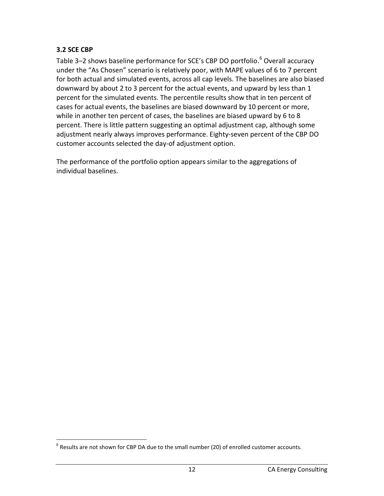#### <span id="page-12-0"></span>**3.2 SCE CBP**

Table 3–2 shows baseline performance for SCE's CBP DO portfolio.<sup>[6](#page-12-1)</sup> Overall accuracy under the "As Chosen" scenario is relatively poor, with MAPE values of 6 to 7 percent for both actual and simulated events, across all cap levels. The baselines are also biased downward by about 2 to 3 percent for the actual events, and upward by less than 1 percent for the simulated events. The percentile results show that in ten percent of cases for actual events, the baselines are biased downward by 10 percent or more, while in another ten percent of cases, the baselines are biased upward by 6 to 8 percent. There is little pattern suggesting an optimal adjustment cap, although some adjustment nearly always improves performance. Eighty-seven percent of the CBP DO customer accounts selected the day-of adjustment option.

The performance of the portfolio option appears similar to the aggregations of individual baselines.

<span id="page-12-1"></span> $6$  Results are not shown for CBP DA due to the small number (20) of enrolled customer accounts.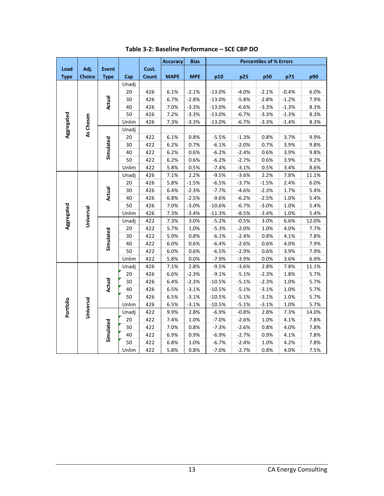<span id="page-13-0"></span>

|             |                                     |               |       |       | <b>Accuracy</b> | <b>Bias</b> |          |         | <b>Percentiles of % Errors</b> |         |       |
|-------------|-------------------------------------|---------------|-------|-------|-----------------|-------------|----------|---------|--------------------------------|---------|-------|
| Load        | Adj.                                | <b>Event</b>  |       | Cust. |                 |             |          |         |                                |         |       |
| <b>Type</b> | <b>Choice</b>                       | <b>Type</b>   | Cap   | Count | <b>MAPE</b>     | <b>MPE</b>  | p10      | p25     | p50                            | p75     | p90   |
|             |                                     |               | Unadj |       |                 |             |          |         |                                |         |       |
|             |                                     |               | 20    | 426   | 6.1%            | $-2.1%$     | $-13.0%$ | $-4.0%$ | $-2.1%$                        | $-0.4%$ | 6.0%  |
|             |                                     | Actual        | 30    | 426   | 6.7%            | $-2.8%$     | $-13.0%$ | $-5.8%$ | $-2.8%$                        | $-1.2%$ | 7.9%  |
|             | As Chosen<br>Universal<br>Universal |               | 40    | 426   | 7.0%            | $-3.3%$     | $-13.0%$ | $-6.6%$ | $-3.3%$                        | $-1.3%$ | 8.3%  |
|             |                                     |               | 50    | 426   | 7.2%            | $-3.3%$     | $-13.0%$ | $-6.7%$ | $-3.3%$                        | $-1.3%$ | 8.3%  |
| Aggregated  |                                     |               | Unlim | 426   | 7.3%            | $-3.3%$     | $-13.0%$ | $-6.7%$ | $-3.3%$                        | $-1.4%$ | 8.3%  |
|             |                                     |               | Unadj |       |                 |             |          |         |                                |         |       |
|             |                                     |               | 20    | 422   | 6.1%            | 0.8%        | $-5.5%$  | $-1.3%$ | 0.8%                           | 3.7%    | 9.9%  |
|             |                                     | Simulated     | 30    | 422   | 6.2%            | 0.7%        | $-6.1%$  | $-2.0%$ | 0.7%                           | 3.9%    | 9.8%  |
|             |                                     |               | 40    | 422   | 6.2%            | 0.6%        | $-6.2%$  | $-2.4%$ | 0.6%                           | 3.9%    | 9.8%  |
|             |                                     |               | 50    | 422   | 6.2%            | 0.6%        | $-6.2%$  | $-2.7%$ | 0.6%                           | 3.9%    | 9.2%  |
|             |                                     |               | Unlim | 422   | 5.8%            | 0.5%        | $-7.4%$  | $-3.1%$ | 0.5%                           | 3.4%    | 8.6%  |
|             |                                     |               | Unadj | 426   | 7.1%            | 2.2%        | $-9.5%$  | $-3.6%$ | 2.2%                           | 7.8%    | 11.1% |
|             |                                     |               | 20    | 426   | 5.8%            | $-1.5%$     | $-6.5%$  | $-3.7%$ | $-1.5%$                        | 2.4%    | 6.0%  |
|             |                                     |               | 30    | 426   | 6.4%            | $-2.3%$     | $-7.7%$  | $-4.6%$ | $-2.3%$                        | 1.7%    | 5.4%  |
|             |                                     | <b>Actual</b> | 40    | 426   | 6.8%            | $-2.5%$     | $-9.6%$  | $-6.2%$ | $-2.5%$                        | 1.0%    | 5.4%  |
|             |                                     |               | 50    | 426   | 7.0%            | $-3.0%$     | $-10.6%$ | $-6.7%$ | $-3.0%$                        | 1.0%    | 5.4%  |
| Aggregated  |                                     |               | Unlim | 426   | 7.3%            | $-3.4%$     | $-11.3%$ | $-8.5%$ | $-3.4%$                        | 1.0%    | 5.4%  |
|             |                                     |               | Unadj | 422   | 7.3%            | 3.0%        | $-5.2%$  | $-0.5%$ | 3.0%                           | 6.6%    | 12.0% |
|             |                                     |               | 20    | 422   | 5.7%            | 1.0%        | $-5.3%$  | $-2.0%$ | 1.0%                           | 4.0%    | 7.7%  |
|             |                                     |               | 30    | 422   | 5.9%            | 0.8%        | $-6.1%$  | $-2.4%$ | 0.8%                           | 4.1%    | 7.8%  |
|             |                                     | Simulated     | 40    | 422   | 6.0%            | 0.6%        | $-6.4%$  | $-2.6%$ | 0.6%                           | 4.0%    | 7.9%  |
|             |                                     |               | 50    | 422   | 6.0%            | 0.6%        | $-6.5%$  | $-2.9%$ | 0.6%                           | 3.9%    | 7.9%  |
|             |                                     |               | Unlim | 422   | 5.8%            | 0.0%        | $-7.9%$  | $-3.9%$ | 0.0%                           | 3.6%    | 6.9%  |
|             |                                     |               | Unadj | 426   | 7.1%            | 2.8%        | $-9.5%$  | $-3.6%$ | 2.8%                           | 7.8%    | 11.1% |
|             |                                     |               | 20    | 426   | 6.6%            | $-2.3%$     | $-9.1%$  | $-5.1%$ | $-2.3%$                        | 1.8%    | 5.7%  |
|             |                                     | Actual        | 30    | 426   | 6.4%            | $-2.3%$     | $-10.5%$ | $-5.1%$ | $-2.3%$                        | 1.0%    | 5.7%  |
|             |                                     |               | 40    | 426   | 6.5%            | $-3.1%$     | $-10.5%$ | $-5.1%$ | $-3.1%$                        | 1.0%    | 5.7%  |
|             |                                     |               | 50    | 426   | 6.5%            | $-3.1%$     | $-10.5%$ | $-5.1%$ | $-3.1%$                        | 1.0%    | 5.7%  |
|             |                                     |               | Unlim | 426   | 6.5%            | $-3.1%$     | $-10.5%$ | $-5.1%$ | $-3.1%$                        | 1.0%    | 5.7%  |
| Portfolio   |                                     |               | Unadj | 422   | 9.9%            | 2.8%        | $-6.9%$  | $-0.8%$ | 2.8%                           | 7.3%    | 14.0% |
|             |                                     |               | 20    | 422   | 7.4%            | 1.0%        | $-7.0%$  | $-2.6%$ | 1.0%                           | 4.1%    | 7.8%  |
|             |                                     |               | 30    | 422   | 7.0%            | 0.8%        | $-7.3%$  | $-2.6%$ | 0.8%                           | 4.0%    | 7.8%  |
|             |                                     | Simulated     | 40    | 422   | 6.9%            | 0.9%        | $-6.9%$  | $-2.7%$ | 0.9%                           | 4.1%    | 7.8%  |
|             |                                     |               | 50    | 422   | 6.8%            | 1.0%        | $-6.7%$  | $-2.4%$ | 1.0%                           | 4.2%    | 7.8%  |
|             |                                     |               | Unlim | 422   | 5.8%            | 0.8%        | $-7.0%$  | $-2.7%$ | 0.8%                           | 4.0%    | 7.5%  |

**Table 3-2: Baseline Performance – SCE CBP DO**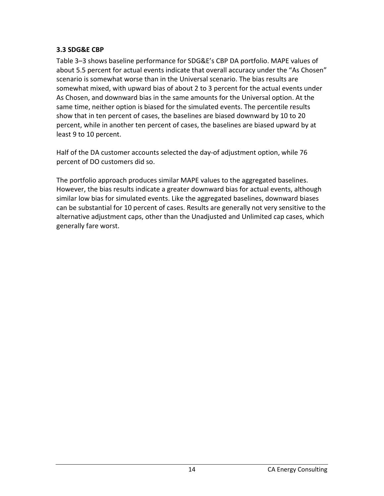#### <span id="page-14-0"></span>**3.3 SDG&E CBP**

Table 3–3 shows baseline performance for SDG&E's CBP DA portfolio. MAPE values of about 5.5 percent for actual events indicate that overall accuracy under the "As Chosen" scenario is somewhat worse than in the Universal scenario. The bias results are somewhat mixed, with upward bias of about 2 to 3 percent for the actual events under As Chosen, and downward bias in the same amounts for the Universal option. At the same time, neither option is biased for the simulated events. The percentile results show that in ten percent of cases, the baselines are biased downward by 10 to 20 percent, while in another ten percent of cases, the baselines are biased upward by at least 9 to 10 percent.

Half of the DA customer accounts selected the day-of adjustment option, while 76 percent of DO customers did so.

The portfolio approach produces similar MAPE values to the aggregated baselines. However, the bias results indicate a greater downward bias for actual events, although similar low bias for simulated events. Like the aggregated baselines, downward biases can be substantial for 10 percent of cases. Results are generally not very sensitive to the alternative adjustment caps, other than the Unadjusted and Unlimited cap cases, which generally fare worst.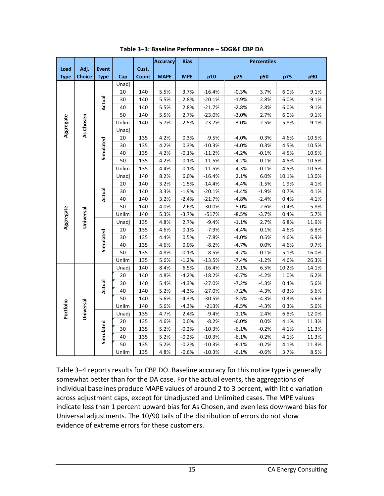<span id="page-15-0"></span>

|                                     |               |              |       |       | <b>Accuracy</b> | <b>Bias</b> | <b>Percentiles</b> |         |         |       |       |  |
|-------------------------------------|---------------|--------------|-------|-------|-----------------|-------------|--------------------|---------|---------|-------|-------|--|
| Load                                | Adj.          | <b>Event</b> |       | Cust. |                 |             |                    |         |         |       |       |  |
| <b>Type</b>                         | <b>Choice</b> | <b>Type</b>  | Cap   | Count | <b>MAPE</b>     | <b>MPE</b>  | p10                | p25     | p50     | p75   | p90   |  |
|                                     |               |              | Unadj |       |                 |             |                    |         |         |       |       |  |
|                                     |               |              | 20    | 140   | 5.5%            | 3.7%        | $-16.4%$           | $-0.3%$ | 3.7%    | 6.0%  | 9.1%  |  |
|                                     |               | Actual       | 30    | 140   | 5.5%            | 2.8%        | $-20.1%$           | $-1.9%$ | 2.8%    | 6.0%  | 9.1%  |  |
|                                     |               |              | 40    | 140   | 5.5%            | 2.8%        | $-21.7%$           | $-2.8%$ | 2.8%    | 6.0%  | 9.1%  |  |
|                                     |               |              | 50    | 140   | 5.5%            | 2.7%        | $-23.0%$           | $-3.0%$ | 2.7%    | 6.0%  | 9.1%  |  |
|                                     | As Chosen     |              | Unlim | 140   | 5.7%            | 2.5%        | $-23.7%$           | $-3.0%$ | 2.5%    | 5.8%  | 9.1%  |  |
|                                     |               |              | Unadj |       |                 |             |                    |         |         |       |       |  |
|                                     |               |              | 20    | 135   | 4.2%            | 0.3%        | $-9.5%$            | $-4.0%$ | 0.3%    | 4.6%  | 10.5% |  |
|                                     |               | Simulated    | 30    | 135   | 4.2%            | 0.3%        | $-10.3%$           | $-4.0%$ | 0.3%    | 4.5%  | 10.5% |  |
|                                     |               |              | 40    | 135   | 4.2%            | $-0.1%$     | $-11.2%$           | $-4.2%$ | $-0.1%$ | 4.5%  | 10.5% |  |
|                                     |               |              | 50    | 135   | 4.2%            | $-0.1%$     | $-11.5%$           | $-4.2%$ | $-0.1%$ | 4.5%  | 10.5% |  |
|                                     |               |              | Unlim | 135   | 4.4%            | $-0.1%$     | $-11.5%$           | $-4.3%$ | $-0.1%$ | 4.5%  | 10.5% |  |
|                                     |               |              | Unadj | 140   | 8.2%            | 6.0%        | -16.4%             | 2.1%    | 6.0%    | 10.1% | 13.0% |  |
|                                     |               |              | 20    | 140   | 3.2%            | $-1.5%$     | $-14.4%$           | $-4.4%$ | $-1.5%$ | 1.9%  | 4.1%  |  |
|                                     |               | Actual       | 30    | 140   | 3.3%            | $-1.9%$     | $-20.1%$           | $-4.4%$ | $-1.9%$ | 0.7%  | 4.1%  |  |
|                                     |               |              | 40    | 140   | 3.2%            | $-2.4%$     | $-21.7%$           | $-4.8%$ | $-2.4%$ | 0.4%  | 4.1%  |  |
| Aggregate<br>Aggregate<br>Portfolio |               |              | 50    | 140   | 4.0%            | $-2.6%$     | $-30.0%$           | $-5.0%$ | $-2.6%$ | 0.4%  | 5.8%  |  |
|                                     |               |              | Unlim | 140   | 5.3%            | $-3.7%$     | $-517%$            | $-8.5%$ | $-3.7%$ | 0.4%  | 5.7%  |  |
|                                     | Universal     |              | Unadj | 135   | 4.8%            | 2.7%        | $-9.4%$            | $-1.1%$ | 2.7%    | 6.8%  | 11.9% |  |
|                                     |               |              | 20    | 135   | 4.6%            | 0.1%        | $-7.9%$            | $-4.4%$ | 0.1%    | 4.6%  | 6.8%  |  |
|                                     |               |              | 30    | 135   | 4.4%            | 0.5%        | $-7.8%$            | $-4.0%$ | 0.5%    | 4.6%  | 6.9%  |  |
|                                     |               | Simulated    | 40    | 135   | 4.6%            | 0.0%        | $-8.2%$            | $-4.7%$ | 0.0%    | 4.6%  | 9.7%  |  |
|                                     |               |              | 50    | 135   | 4.8%            | $-0.1%$     | $-8.5%$            | $-4.7%$ | $-0.1%$ | 5.1%  | 16.0% |  |
|                                     |               |              | Unlim | 135   | 5.6%            | $-1.2%$     | $-13.5%$           | $-7.4%$ | $-1.2%$ | 4.6%  | 26.3% |  |
|                                     |               |              | Unadj | 140   | 8.4%            | 6.5%        | $-16.4%$           | 2.1%    | 6.5%    | 10.2% | 14.1% |  |
|                                     |               |              | 20    | 140   | 4.8%            | $-4.2%$     | $-18.2%$           | $-6.7%$ | $-4.2%$ | 1.0%  | 6.2%  |  |
|                                     |               | Actual       | 30    | 140   | 5.4%            | $-4.3%$     | $-27.0%$           | $-7.2%$ | $-4.3%$ | 0.4%  | 5.6%  |  |
|                                     |               |              | 40    | 140   | 5.2%            | $-4.3%$     | $-27.0%$           | $-7.2%$ | $-4.3%$ | 0.3%  | 5.6%  |  |
|                                     |               |              | 50    | 140   | 5.6%            | $-4.3%$     | $-30.5%$           | $-8.5%$ | $-4.3%$ | 0.3%  | 5.6%  |  |
|                                     |               |              | Unlim | 140   | 5.6%            | $-4.3%$     | $-213%$            | $-8.5%$ | $-4.3%$ | 0.3%  | 5.6%  |  |
|                                     | Universal     |              | Unadj | 135   | 4.7%            | 2.4%        | $-9.4%$            | $-1.1%$ | 2.4%    | 6.8%  | 12.0% |  |
|                                     |               |              | 20    | 135   | 4.6%            | 0.0%        | $-8.2%$            | $-6.0%$ | 0.0%    | 4.1%  | 11.3% |  |
|                                     |               |              | 30    | 135   | 5.2%            | $-0.2%$     | $-10.3%$           | $-6.1%$ | $-0.2%$ | 4.1%  | 11.3% |  |
|                                     |               | Simulated    | 40    | 135   | 5.2%            | $-0.2%$     | $-10.3%$           | $-6.1%$ | $-0.2%$ | 4.1%  | 11.3% |  |
|                                     |               |              | 50    | 135   | 5.2%            | $-0.2%$     | $-10.3%$           | $-6.1%$ | $-0.2%$ | 4.1%  | 11.3% |  |
|                                     |               |              | Unlim | 135   | 4.8%            | $-0.6%$     | $-10.3%$           | $-6.1%$ | $-0.6%$ | 3.7%  | 8.5%  |  |

**Table 3–3: Baseline Performance – SDG&E CBP DA**

Table 3–4 reports results for CBP DO. Baseline accuracy for this notice type is generally somewhat better than for the DA case. For the actual events, the aggregations of individual baselines produce MAPE values of around 2 to 3 percent, with little variation across adjustment caps, except for Unadjusted and Unlimited cases. The MPE values indicate less than 1 percent upward bias for As Chosen, and even less downward bias for Universal adjustments. The 10/90 tails of the distribution of errors do not show evidence of extreme errors for these customers.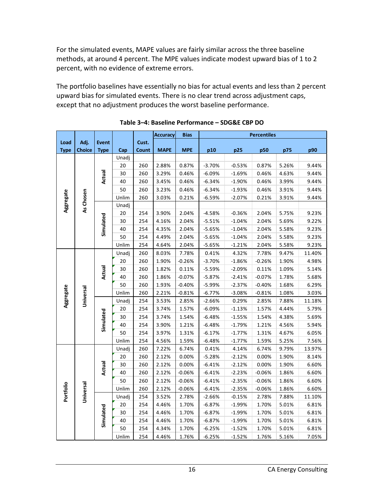For the simulated events, MAPE values are fairly similar across the three baseline methods, at around 4 percent. The MPE values indicate modest upward bias of 1 to 2 percent, with no evidence of extreme errors.

The portfolio baselines have essentially no bias for actual events and less than 2 percent upward bias for simulated events. There is no clear trend across adjustment caps, except that no adjustment produces the worst baseline performance.

<span id="page-16-0"></span>

|                                     |               |              |       |       | <b>Accuracy</b> | <b>Bias</b> | <b>Percentiles</b> |          |          |       |        |  |
|-------------------------------------|---------------|--------------|-------|-------|-----------------|-------------|--------------------|----------|----------|-------|--------|--|
| Load                                | Adj.          | <b>Event</b> |       | Cust. |                 |             |                    |          |          |       |        |  |
| <b>Type</b>                         | <b>Choice</b> | <b>Type</b>  | Cap   | Count | <b>MAPE</b>     | <b>MPE</b>  | p10                | p25      | p50      | p75   | p90    |  |
|                                     |               |              | Unadj |       |                 |             |                    |          |          |       |        |  |
|                                     |               |              | 20    | 260   | 2.88%           | 0.87%       | $-3.70%$           | $-0.53%$ | 0.87%    | 5.26% | 9.44%  |  |
|                                     |               | Actual       | 30    | 260   | 3.29%           | 0.46%       | $-6.09%$           | $-1.69%$ | 0.46%    | 4.63% | 9.44%  |  |
| Aggregate<br>Aggregate<br>Portfolio |               |              | 40    | 260   | 3.45%           | 0.46%       | $-6.34%$           | $-1.90%$ | 0.46%    | 3.99% | 9.44%  |  |
|                                     |               |              | 50    | 260   | 3.23%           | 0.46%       | $-6.34%$           | $-1.93%$ | 0.46%    | 3.91% | 9.44%  |  |
|                                     | As Chosen     |              | Unlim | 260   | 3.03%           | 0.21%       | $-6.59%$           | $-2.07%$ | 0.21%    | 3.91% | 9.44%  |  |
|                                     |               |              | Unadj |       |                 |             |                    |          |          |       |        |  |
|                                     |               |              | 20    | 254   | 3.90%           | 2.04%       | $-4.58%$           | $-0.36%$ | 2.04%    | 5.75% | 9.23%  |  |
|                                     |               |              | 30    | 254   | 4.16%           | 2.04%       | $-5.51%$           | $-1.04%$ | 2.04%    | 5.69% | 9.22%  |  |
|                                     |               | Simulated    | 40    | 254   | 4.35%           | 2.04%       | $-5.65%$           | $-1.04%$ | 2.04%    | 5.58% | 9.23%  |  |
|                                     |               |              | 50    | 254   | 4.49%           | 2.04%       | $-5.65%$           | $-1.04%$ | 2.04%    | 5.58% | 9.23%  |  |
|                                     |               |              | Unlim | 254   | 4.64%           | 2.04%       | $-5.65%$           | $-1.21%$ | 2.04%    | 5.58% | 9.23%  |  |
|                                     |               |              | Unadj | 260   | 8.03%           | 7.78%       | 0.41%              | 4.32%    | 7.78%    | 9.47% | 11.40% |  |
|                                     |               |              | 20    | 260   | 1.90%           | $-0.26%$    | $-3.70%$           | $-1.86%$ | $-0.26%$ | 1.90% | 4.98%  |  |
|                                     |               | Actual       | 30    | 260   | 1.82%           | 0.11%       | $-5.59%$           | $-2.09%$ | 0.11%    | 1.09% | 5.14%  |  |
|                                     |               |              | 40    | 260   | 1.86%           | $-0.07%$    | $-5.87%$           | $-2.41%$ | $-0.07%$ | 1.78% | 5.68%  |  |
|                                     |               |              | 50    | 260   | 1.93%           | $-0.40%$    | $-5.99%$           | $-2.37%$ | $-0.40%$ | 1.68% | 6.29%  |  |
|                                     | Universal     |              | Unlim | 260   | 2.21%           | $-0.81%$    | $-6.77%$           | $-3.08%$ | $-0.81%$ | 1.08% | 3.03%  |  |
|                                     |               |              | Unadj | 254   | 3.53%           | 2.85%       | $-2.66%$           | 0.29%    | 2.85%    | 7.88% | 11.18% |  |
|                                     |               |              | 20    | 254   | 3.74%           | 1.57%       | $-6.09%$           | $-1.13%$ | 1.57%    | 4.44% | 5.79%  |  |
|                                     |               |              | 30    | 254   | 3.74%           | 1.54%       | $-6.48%$           | $-1.55%$ | 1.54%    | 4.38% | 5.69%  |  |
|                                     |               | Simulated    | 40    | 254   | 3.90%           | 1.21%       | $-6.48%$           | $-1.79%$ | 1.21%    | 4.56% | 5.94%  |  |
|                                     |               |              | 50    | 254   | 3.97%           | 1.31%       | $-6.17%$           | $-1.77%$ | 1.31%    | 4.67% | 6.05%  |  |
|                                     |               |              | Unlim | 254   | 4.56%           | 1.59%       | $-6.48%$           | $-1.77%$ | 1.59%    | 5.25% | 7.56%  |  |
|                                     |               |              | Unadj | 260   | 7.22%           | 6.74%       | 0.41%              | 4.14%    | 6.74%    | 9.79% | 13.97% |  |
|                                     |               |              | 20    | 260   | 2.12%           | 0.00%       | $-5.28%$           | $-2.12%$ | 0.00%    | 1.90% | 8.14%  |  |
|                                     |               | Actual       | 30    | 260   | 2.12%           | 0.00%       | $-6.41%$           | $-2.12%$ | 0.00%    | 1.90% | 6.60%  |  |
|                                     |               |              | 40    | 260   | 2.12%           | $-0.06%$    | $-6.41%$           | $-2.23%$ | $-0.06%$ | 1.86% | 6.60%  |  |
|                                     |               |              | 50    | 260   | 2.12%           | -0.06%      | $-6.41%$           | $-2.35%$ | $-0.06%$ | 1.86% | 6.60%  |  |
|                                     |               |              | Unlim | 260   | 2.12%           | $-0.06%$    | $-6.41%$           | $-2.35%$ | $-0.06%$ | 1.86% | 6.60%  |  |
|                                     | Universal     |              | Unadj | 254   | 3.52%           | 2.78%       | $-2.66%$           | $-0.15%$ | 2.78%    | 7.88% | 11.10% |  |
|                                     |               |              | 20    | 254   | 4.46%           | 1.70%       | $-6.87%$           | $-1.99%$ | 1.70%    | 5.01% | 6.81%  |  |
|                                     |               |              | 30    | 254   | 4.46%           | 1.70%       | $-6.87%$           | $-1.99%$ | 1.70%    | 5.01% | 6.81%  |  |
|                                     |               | Simulated    | 40    | 254   | 4.46%           | 1.70%       | $-6.87%$           | $-1.99%$ | 1.70%    | 5.01% | 6.81%  |  |
|                                     |               |              | 50    | 254   | 4.34%           | 1.70%       | $-6.25%$           | $-1.52%$ | 1.70%    | 5.01% | 6.81%  |  |
|                                     |               |              | Unlim | 254   | 4.46%           | 1.76%       | $-6.25%$           | $-1.52%$ | 1.76%    | 5.16% | 7.05%  |  |

**Table 3–4: Baseline Performance – SDG&E CBP DO**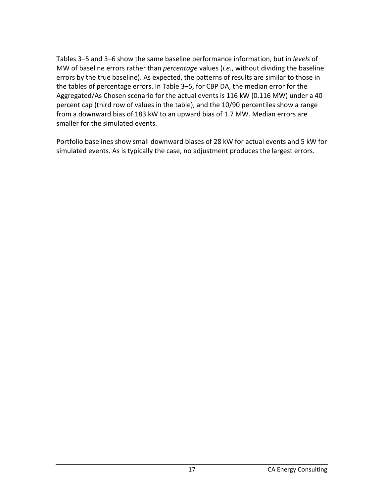Tables 3–5 and 3–6 show the same baseline performance information, but in *levels* of MW of baseline errors rather than *percentage* values (*i.e.*, without dividing the baseline errors by the true baseline). As expected, the patterns of results are similar to those in the tables of percentage errors. In Table 3–5, for CBP DA, the median error for the Aggregated/As Chosen scenario for the actual events is 116 kW (0.116 MW) under a 40 percent cap (third row of values in the table), and the 10/90 percentiles show a range from a downward bias of 183 kW to an upward bias of 1.7 MW. Median errors are smaller for the simulated events.

Portfolio baselines show small downward biases of 28 kW for actual events and 5 kW for simulated events. As is typically the case, no adjustment produces the largest errors.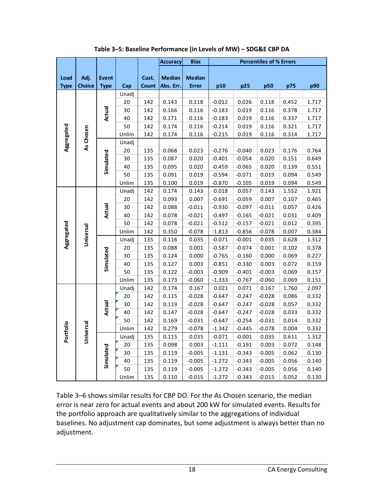<span id="page-18-0"></span>

|                     |                                                                              |                             |        |                | <b>Accuracy</b>            | <b>Bias</b>                   | <b>Percentiles of % Errors</b> |          |          |       |       |
|---------------------|------------------------------------------------------------------------------|-----------------------------|--------|----------------|----------------------------|-------------------------------|--------------------------------|----------|----------|-------|-------|
| Load<br><b>Type</b> | Adj.<br><b>Choice</b>                                                        | <b>Event</b><br><b>Type</b> | Cap    | Cust.<br>Count | <b>Median</b><br>Abs. Err. | <b>Median</b><br><b>Error</b> | p10                            | p25      | p50      | p75   | p90   |
|                     |                                                                              |                             | Unadj  |                |                            |                               |                                |          |          |       |       |
|                     | Aggregated<br>As Chosen<br>Aggregated<br>Universal<br>Portfolio<br>Universal |                             | 20     | 142            | 0.143                      | 0.118                         | $-0.012$                       | 0.026    | 0.118    | 0.452 | 1.717 |
|                     |                                                                              | <b>Actual</b>               | 30     | 142            | 0.166                      | 0.116                         | $-0.183$                       | 0.019    | 0.116    | 0.378 | 1.717 |
|                     |                                                                              |                             | 40     | 142            | 0.171                      | 0.116                         | $-0.183$                       | 0.019    | 0.116    | 0.337 | 1.717 |
|                     |                                                                              |                             | 50     | 142            | 0.174                      | 0.116                         | $-0.214$                       | 0.019    | 0.116    | 0.321 | 1.717 |
|                     |                                                                              |                             | Unlim  | 142            | 0.174                      | 0.116                         | $-0.215$                       | 0.019    | 0.116    | 0.314 | 1.717 |
|                     |                                                                              |                             | Unadj  |                |                            |                               |                                |          |          |       |       |
|                     |                                                                              |                             | 20     | 135            | 0.068                      | 0.023                         | $-0.276$                       | $-0.040$ | 0.023    | 0.176 | 0.764 |
|                     |                                                                              | Simulated                   | 30     | 135            | 0.087                      | 0.020                         | $-0.401$                       | $-0.054$ | 0.020    | 0.151 | 0.649 |
|                     |                                                                              |                             | 40     | 135            | 0.095                      | 0.020                         | $-0.459$                       | $-0.065$ | 0.020    | 0.139 | 0.551 |
|                     |                                                                              |                             | 50     | 135            | 0.091                      | 0.019                         | $-0.594$                       | $-0.071$ | 0.019    | 0.094 | 0.549 |
|                     |                                                                              |                             | Unlim  | 135            | 0.100                      | 0.019                         | $-0.870$                       | $-0.105$ | 0.019    | 0.094 | 0.549 |
|                     |                                                                              |                             | Unadj  | 142            | 0.174                      | 0.143                         | 0.018                          | 0.057    | 0.143    | 1.552 | 1.921 |
|                     |                                                                              |                             | 20     | 142            | 0.093                      | 0.007                         | $-0.691$                       | $-0.059$ | 0.007    | 0.107 | 0.465 |
|                     |                                                                              | Actual                      | 30     | 142            | 0.088                      | $-0.011$                      | $-0.930$                       | $-0.097$ | $-0.011$ | 0.057 | 0.426 |
|                     |                                                                              |                             | 40     | 142            | 0.078                      | $-0.021$                      | $-0.497$                       | $-0.165$ | $-0.021$ | 0.031 | 0.409 |
|                     |                                                                              |                             | 50     | 142            | 0.078                      | $-0.021$                      | $-0.512$                       | $-0.157$ | $-0.021$ | 0.012 | 0.395 |
|                     |                                                                              |                             | Unlim  | 142            | 0.350                      | $-0.078$                      | $-1.813$                       | $-0.856$ | $-0.078$ | 0.007 | 0.384 |
|                     |                                                                              |                             | Unadj  | 135            | 0.116                      | 0.035                         | $-0.071$                       | $-0.001$ | 0.035    | 0.628 | 1.312 |
|                     |                                                                              |                             | 20     | 135            | 0.088                      | 0.001                         | $-0.587$                       | $-0.074$ | 0.001    | 0.102 | 0.378 |
|                     |                                                                              |                             | 30     | 135            | 0.124                      | 0.000                         | $-0.765$                       | $-0.160$ | 0.000    | 0.069 | 0.227 |
|                     |                                                                              | Simulated                   | 40     | 135            | 0.127                      | 0.003                         | $-0.851$                       | $-0.330$ | 0.003    | 0.072 | 0.159 |
|                     |                                                                              |                             | 50     | 135            | 0.122                      | $-0.003$                      | $-0.909$                       | $-0.401$ | $-0.003$ | 0.069 | 0.157 |
|                     |                                                                              |                             | Unlim  | 135            | 0.173                      | $-0.060$                      | $-1.333$                       | $-0.767$ | $-0.060$ | 0.069 | 0.151 |
|                     |                                                                              |                             | Unadj  | 142            | 0.174                      | 0.167                         | 0.021                          | 0.071    | 0.167    | 1.760 | 2.097 |
|                     |                                                                              |                             | 20     | 142            | 0.115                      | $-0.028$                      | $-0.647$                       | $-0.247$ | $-0.028$ | 0.086 | 0.332 |
|                     |                                                                              | <b>Actual</b>               | $30\,$ | 142            | 0.119                      | $-0.028$                      | $-0.647$                       | $-0.247$ | $-0.028$ | 0.057 | 0.332 |
|                     |                                                                              |                             | 40     | 142            | 0.147                      | $-0.028$                      | $-0.647$                       | $-0.247$ | $-0.028$ | 0.033 | 0.332 |
|                     |                                                                              |                             | 50     | 142            | 0.169                      | $-0.031$                      | $-0.647$                       | $-0.254$ | $-0.031$ | 0.014 | 0.332 |
|                     |                                                                              |                             | Unlim  | 142            | 0.279                      | $-0.078$                      | $-1.342$                       | $-0.445$ | $-0.078$ | 0.004 | 0.332 |
|                     |                                                                              |                             | Unadj  | 135            | 0.115                      | 0.035                         | $-0.071$                       | $-0.001$ | 0.035    | 0.611 | 1.312 |
|                     |                                                                              |                             | 20     | 135            | 0.098                      | 0.003                         | $-1.111$                       | $-0.191$ | 0.003    | 0.072 | 0.148 |
|                     |                                                                              |                             | 30     | 135            | 0.119                      | $-0.005$                      | $-1.131$                       | $-0.343$ | $-0.005$ | 0.062 | 0.130 |
|                     |                                                                              | Simulated                   | 40     | 135            | 0.119                      | $-0.005$                      | $-1.272$                       | $-0.343$ | $-0.005$ | 0.056 | 0.140 |
|                     |                                                                              |                             | 50     | 135            | 0.119                      | $-0.005$                      | $-1.272$                       | $-0.343$ | $-0.005$ | 0.056 | 0.140 |
|                     |                                                                              |                             | Unlim  | 135            | 0.110                      | $-0.015$                      | $-1.272$                       | $-0.343$ | $-0.015$ | 0.052 | 0.130 |

**Table 3–5: Baseline Performance (in Levels of MW) – SDG&E CBP DA**

Table 3–6 shows similar results for CBP DO. For the As Chosen scenario, the median error is near zero for actual events and about 200 kW for simulated events. Results for the portfolio approach are qualitatively similar to the aggregations of individual baselines. No adjustment cap dominates, but some adjustment is always better than no adjustment.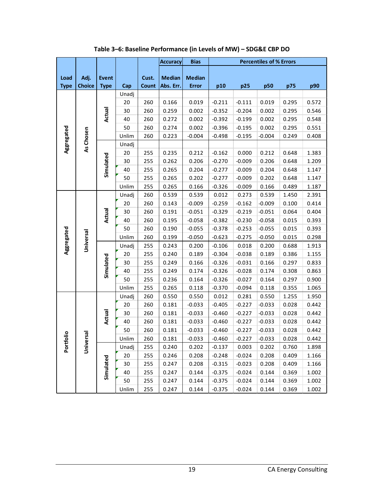<span id="page-19-0"></span>

|                     |                        |                             |       |                | <b>Accuracy</b>            | <b>Bias</b>                   | <b>Percentiles of % Errors</b> |          |          |       |       |
|---------------------|------------------------|-----------------------------|-------|----------------|----------------------------|-------------------------------|--------------------------------|----------|----------|-------|-------|
| Load<br><b>Type</b> | Adj.<br><b>Choice</b>  | <b>Event</b><br><b>Type</b> | Cap   | Cust.<br>Count | <b>Median</b><br>Abs. Err. | <b>Median</b><br><b>Error</b> | p10                            | p25      | p50      | p75   | p90   |
|                     |                        |                             | Unadj |                |                            |                               |                                |          |          |       |       |
|                     |                        |                             | 20    | 260            | 0.166                      | 0.019                         | $-0.211$                       | $-0.111$ | 0.019    | 0.295 | 0.572 |
|                     | As Chosen<br>Universal | Actual                      | 30    | 260            | 0.259                      | 0.002                         | $-0.352$                       | $-0.204$ | 0.002    | 0.295 | 0.546 |
|                     |                        |                             | 40    | 260            | 0.272                      | 0.002                         | $-0.392$                       | $-0.199$ | 0.002    | 0.295 | 0.548 |
|                     |                        |                             | 50    | 260            | 0.274                      | 0.002                         | $-0.396$                       | $-0.195$ | 0.002    | 0.295 | 0.551 |
| Aggregated          |                        |                             | Unlim | 260            | 0.223                      | $-0.004$                      | $-0.498$                       | $-0.195$ | $-0.004$ | 0.249 | 0.408 |
|                     |                        |                             | Unadj |                |                            |                               |                                |          |          |       |       |
|                     |                        |                             | 20    | 255            | 0.235                      | 0.212                         | $-0.162$                       | 0.000    | 0.212    | 0.648 | 1.383 |
|                     |                        |                             | 30    | 255            | 0.262                      | 0.206                         | $-0.270$                       | $-0.009$ | 0.206    | 0.648 | 1.209 |
|                     |                        | Simulated                   | 40    | 255            | 0.265                      | 0.204                         | $-0.277$                       | $-0.009$ | 0.204    | 0.648 | 1.147 |
|                     |                        |                             | 50    | 255            | 0.265                      | 0.202                         | $-0.277$                       | $-0.009$ | 0.202    | 0.648 | 1.147 |
|                     |                        |                             | Unlim | 255            | 0.265                      | 0.166                         | $-0.326$                       | $-0.009$ | 0.166    | 0.489 | 1.187 |
|                     |                        |                             | Unadj | 260            | 0.539                      | 0.539                         | 0.012                          | 0.273    | 0.539    | 1.450 | 2.391 |
|                     |                        |                             | 20    | 260            | 0.143                      | $-0.009$                      | $-0.259$                       | $-0.162$ | $-0.009$ | 0.100 | 0.414 |
|                     |                        | Actual                      | 30    | 260            | 0.191                      | $-0.051$                      | $-0.329$                       | $-0.219$ | $-0.051$ | 0.064 | 0.404 |
|                     |                        |                             | 40    | 260            | 0.195                      | $-0.058$                      | $-0.382$                       | $-0.230$ | $-0.058$ | 0.015 | 0.393 |
|                     |                        |                             | 50    | 260            | 0.190                      | $-0.055$                      | $-0.378$                       | $-0.253$ | $-0.055$ | 0.015 | 0.393 |
|                     |                        |                             | Unlim | 260            | 0.199                      | $-0.050$                      | $-0.623$                       | $-0.275$ | $-0.050$ | 0.015 | 0.298 |
| Aggregated          |                        |                             | Unadj | 255            | 0.243                      | 0.200                         | $-0.106$                       | 0.018    | 0.200    | 0.688 | 1.913 |
|                     |                        |                             | 20    | 255            | 0.240                      | 0.189                         | $-0.304$                       | $-0.038$ | 0.189    | 0.386 | 1.155 |
|                     |                        | Simulated                   | 30    | 255            | 0.249                      | 0.166                         | $-0.326$                       | $-0.031$ | 0.166    | 0.297 | 0.833 |
|                     |                        |                             | 40    | 255            | 0.249                      | 0.174                         | $-0.326$                       | $-0.028$ | 0.174    | 0.308 | 0.863 |
|                     |                        |                             | 50    | 255            | 0.236                      | 0.164                         | $-0.326$                       | $-0.027$ | 0.164    | 0.297 | 0.900 |
|                     |                        |                             | Unlim | 255            | 0.265                      | 0.118                         | $-0.370$                       | $-0.094$ | 0.118    | 0.355 | 1.065 |
|                     |                        |                             | Unadj | 260            | 0.550                      | 0.550                         | 0.012                          | 0.281    | 0.550    | 1.255 | 1.950 |
|                     |                        |                             | 20    | 260            | 0.181                      | $-0.033$                      | $-0.405$                       | $-0.227$ | $-0.033$ | 0.028 | 0.442 |
|                     |                        | Actual                      | 30    | 260            | 0.181                      | $-0.033$                      | $-0.460$                       | $-0.227$ | $-0.033$ | 0.028 | 0.442 |
|                     |                        |                             | 40    | 260            | 0.181                      | $-0.033$                      | $-0.460$                       | $-0.227$ | $-0.033$ | 0.028 | 0.442 |
|                     | les.                   |                             | 50    | 260            | 0.181                      | $-0.033$                      | $-0.460$                       | $-0.227$ | $-0.033$ | 0.028 | 0.442 |
| Portfolio           |                        |                             | Unlim | 260            | 0.181                      | $-0.033$                      | $-0.460$                       | $-0.227$ | $-0.033$ | 0.028 | 0.442 |
|                     | Univer                 |                             | Unadj | 255            | 0.240                      | 0.202                         | $-0.137$                       | 0.003    | 0.202    | 0.760 | 1.898 |
|                     |                        |                             | 20    | 255            | 0.246                      | 0.208                         | $-0.248$                       | $-0.024$ | 0.208    | 0.409 | 1.166 |
|                     |                        | Simulated                   | 30    | 255            | 0.247                      | 0.208                         | $-0.315$                       | $-0.023$ | 0.208    | 0.409 | 1.166 |
|                     |                        |                             | 40    | 255            | 0.247                      | 0.144                         | $-0.375$                       | $-0.024$ | 0.144    | 0.369 | 1.002 |
|                     |                        |                             | 50    | 255            | 0.247                      | 0.144                         | $-0.375$                       | $-0.024$ | 0.144    | 0.369 | 1.002 |
|                     |                        |                             | Unlim | 255            | 0.247                      | 0.144                         | $-0.375$                       | $-0.024$ | 0.144    | 0.369 | 1.002 |

**Table 3–6: Baseline Performance (in Levels of MW) – SDG&E CBP DO**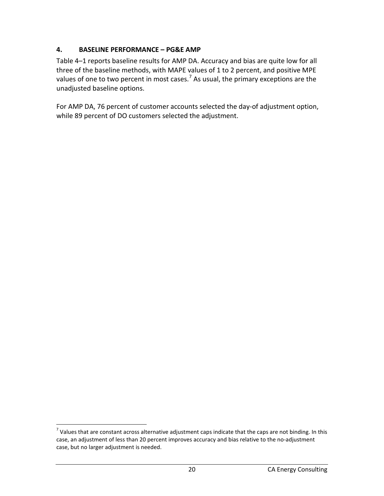# <span id="page-20-0"></span>**4. BASELINE PERFORMANCE – PG&E AMP**

Table 4–1 reports baseline results for AMP DA. Accuracy and bias are quite low for all three of the baseline methods, with MAPE values of 1 to 2 percent, and positive MPE values of one to two percent in most cases.<sup>[7](#page-20-1)</sup> As usual, the primary exceptions are the unadjusted baseline options.

For AMP DA, 76 percent of customer accounts selected the day-of adjustment option, while 89 percent of DO customers selected the adjustment.

<span id="page-20-1"></span> $<sup>7</sup>$  Values that are constant across alternative adjustment caps indicate that the caps are not binding. In this</sup> case, an adjustment of less than 20 percent improves accuracy and bias relative to the no-adjustment case, but no larger adjustment is needed.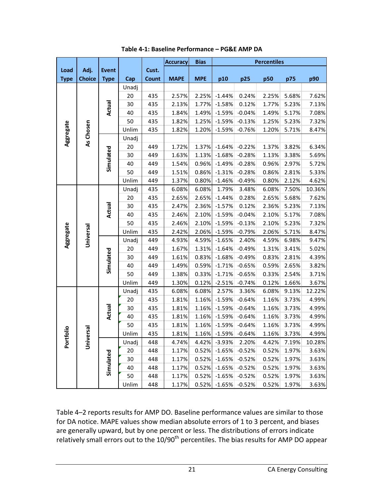<span id="page-21-0"></span>

|             |               |              |       |              | <b>Accuracy</b> | <b>Bias</b> | <b>Percentiles</b> |          |       |       |        |
|-------------|---------------|--------------|-------|--------------|-----------------|-------------|--------------------|----------|-------|-------|--------|
| Load        | Adj.          | <b>Event</b> |       | Cust.        |                 |             |                    |          |       |       |        |
| <b>Type</b> | <b>Choice</b> | <b>Type</b>  | Cap   | <b>Count</b> | <b>MAPE</b>     | <b>MPE</b>  | p10                | p25      | p50   | p75   | p90    |
|             |               |              | Unadj |              |                 |             |                    |          |       |       |        |
|             |               |              | 20    | 435          | 2.57%           | 2.25%       | $-1.44%$           | 0.24%    | 2.25% | 5.68% | 7.62%  |
|             |               | Actual       | 30    | 435          | 2.13%           | 1.77%       | $-1.58%$           | 0.12%    | 1.77% | 5.23% | 7.13%  |
|             |               |              | 40    | 435          | 1.84%           | 1.49%       | $-1.59%$           | $-0.04%$ | 1.49% | 5.17% | 7.08%  |
|             |               |              | 50    | 435          | 1.82%           | 1.25%       | $-1.59%$           | $-0.13%$ | 1.25% | 5.23% | 7.32%  |
| Aggregate   | As Chosen     |              | Unlim | 435          | 1.82%           | 1.20%       | $-1.59%$           | $-0.76%$ | 1.20% | 5.71% | 8.47%  |
|             |               |              | Unadj |              |                 |             |                    |          |       |       |        |
|             |               |              | 20    | 449          | 1.72%           | 1.37%       | $-1.64%$           | $-0.22%$ | 1.37% | 3.82% | 6.34%  |
|             |               | Simulated    | 30    | 449          | 1.63%           | 1.13%       | $-1.68%$           | $-0.28%$ | 1.13% | 3.38% | 5.69%  |
|             |               |              | 40    | 449          | 1.54%           | 0.96%       | $-1.49%$           | $-0.28%$ | 0.96% | 2.97% | 5.72%  |
|             |               |              | 50    | 449          | 1.51%           | 0.86%       | $-1.31%$           | $-0.28%$ | 0.86% | 2.81% | 5.33%  |
|             |               |              | Unlim | 449          | 1.37%           | 0.80%       | $-1.46%$           | $-0.49%$ | 0.80% | 2.12% | 4.62%  |
|             |               |              | Unadj | 435          | 6.08%           | 6.08%       | 1.79%              | 3.48%    | 6.08% | 7.50% | 10.36% |
|             |               |              | 20    | 435          | 2.65%           | 2.65%       | $-1.44%$           | 0.28%    | 2.65% | 5.68% | 7.62%  |
|             |               | Actual       | 30    | 435          | 2.47%           | 2.36%       | $-1.57%$           | 0.12%    | 2.36% | 5.23% | 7.13%  |
|             |               |              | 40    | 435          | 2.46%           | 2.10%       | $-1.59%$           | $-0.04%$ | 2.10% | 5.17% | 7.08%  |
|             |               |              | 50    | 435          | 2.46%           | 2.10%       | $-1.59%$           | $-0.13%$ | 2.10% | 5.23% | 7.32%  |
| Aggregate   | Universal     |              | Unlim | 435          | 2.42%           | 2.06%       | $-1.59%$           | $-0.79%$ | 2.06% | 5.71% | 8.47%  |
|             |               |              | Unadj | 449          | 4.93%           | 4.59%       | $-1.65%$           | 2.40%    | 4.59% | 6.98% | 9.47%  |
|             |               |              | 20    | 449          | 1.67%           | 1.31%       | $-1.64%$           | $-0.49%$ | 1.31% | 3.41% | 5.02%  |
|             |               |              | 30    | 449          | 1.61%           | 0.83%       | $-1.68%$           | $-0.49%$ | 0.83% | 2.81% | 4.39%  |
|             |               | Simulated    | 40    | 449          | 1.49%           | 0.59%       | $-1.71%$           | $-0.65%$ | 0.59% | 2.65% | 3.82%  |
|             |               |              | 50    | 449          | 1.38%           | 0.33%       | $-1.71%$           | $-0.65%$ | 0.33% | 2.54% | 3.71%  |
|             |               |              | Unlim | 449          | 1.30%           | 0.12%       | $-2.51%$           | $-0.74%$ | 0.12% | 1.66% | 3.67%  |
|             |               |              | Unadj | 435          | 6.08%           | 6.08%       | 2.57%              | 3.36%    | 6.08% | 9.13% | 12.22% |
|             |               |              | 20    | 435          | 1.81%           | 1.16%       | $-1.59%$           | $-0.64%$ | 1.16% | 3.73% | 4.99%  |
|             |               | Actual       | 30    | 435          | 1.81%           | 1.16%       | $-1.59%$           | $-0.64%$ | 1.16% | 3.73% | 4.99%  |
|             |               |              | 40    | 435          | 1.81%           | 1.16%       | $-1.59%$           | $-0.64%$ | 1.16% | 3.73% | 4.99%  |
|             |               |              | 50    | 435          | 1.81%           | 1.16%       | $-1.59%$           | $-0.64%$ | 1.16% | 3.73% | 4.99%  |
| folio       | ersal         |              | Unlim | 435          | 1.81%           |             | 1.16% -1.59%       | $-0.64%$ | 1.16% | 3.73% | 4.99%  |
| Porti       | ِ<br>آگ       |              | Unadj | 448          | 4.74%           | 4.42%       | $-3.93%$           | 2.20%    | 4.42% | 7.19% | 10.28% |
|             |               |              | 20    | 448          | 1.17%           | 0.52%       | $-1.65%$           | $-0.52%$ | 0.52% | 1.97% | 3.63%  |
|             |               | Simulated    | 30    | 448          | 1.17%           | 0.52%       | $-1.65%$           | $-0.52%$ | 0.52% | 1.97% | 3.63%  |
|             |               |              | 40    | 448          | 1.17%           | 0.52%       | $-1.65%$           | $-0.52%$ | 0.52% | 1.97% | 3.63%  |
|             |               |              | 50    | 448          | 1.17%           | 0.52%       | $-1.65%$           | $-0.52%$ | 0.52% | 1.97% | 3.63%  |
|             |               |              | Unlim | 448          | 1.17%           | 0.52%       | $-1.65%$           | $-0.52%$ | 0.52% | 1.97% | 3.63%  |

**Table 4-1: Baseline Performance – PG&E AMP DA**

Table 4–2 reports results for AMP DO. Baseline performance values are similar to those for DA notice. MAPE values show median absolute errors of 1 to 3 percent, and biases are generally upward, but by one percent or less. The distributions of errors indicate relatively small errors out to the 10/90<sup>th</sup> percentiles. The bias results for AMP DO appear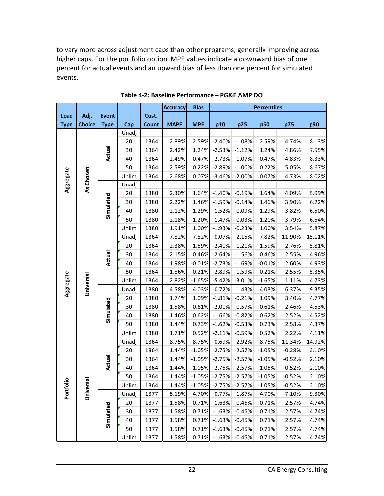to vary more across adjustment caps than other programs, generally improving across higher caps. For the portfolio option, MPE values indicate a downward bias of one percent for actual events and an upward bias of less than one percent for simulated events.

<span id="page-22-0"></span>

|             |               |              |       |              | <b>Accuracy</b> | <b>Bias</b> | <b>Percentiles</b>  |          |          |          |        |
|-------------|---------------|--------------|-------|--------------|-----------------|-------------|---------------------|----------|----------|----------|--------|
| Load        | Adj.          | <b>Event</b> |       | Cust.        |                 |             |                     |          |          |          |        |
| <b>Type</b> | <b>Choice</b> | <b>Type</b>  | Cap   | <b>Count</b> | <b>MAPE</b>     | <b>MPE</b>  | p10                 | p25      | p50      | p75      | p90    |
|             |               |              | Unadj |              |                 |             |                     |          |          |          |        |
|             |               |              | 20    | 1364         | 2.89%           | 2.59%       | $-2.40%$            | $-1.08%$ | 2.59%    | 4.74%    | 8.13%  |
|             |               | Actual       | 30    | 1364         | 2.42%           | 1.24%       | $-2.53%$            | $-1.12%$ | 1.24%    | 4.86%    | 7.55%  |
|             |               |              | 40    | 1364         | 2.49%           | 0.47%       | $-2.73%$            | $-1.07%$ | 0.47%    | 4.83%    | 8.33%  |
|             |               |              | 50    | 1364         | 2.59%           | 0.22%       | $-2.89%$            | $-1.00%$ | 0.22%    | 5.05%    | 8.67%  |
|             |               |              | Unlim | 1364         | 2.68%           | 0.07%       | $-3.46%$            | $-2.00%$ | 0.07%    | 4.73%    | 8.02%  |
| Aggregate   | As Chosen     |              | Unadj |              |                 |             |                     |          |          |          |        |
|             |               |              | 20    | 1380         | 2.30%           | 1.64%       | $-1.40%$            | $-0.19%$ | 1.64%    | 4.09%    | 5.99%  |
|             |               |              | 30    | 1380         | 2.22%           | 1.46%       | $-1.59%$            | $-0.14%$ | 1.46%    | 3.90%    | 6.22%  |
|             |               | Simulated    | 40    | 1380         | 2.12%           | 1.29%       | $-1.52%$            | $-0.09%$ | 1.29%    | 3.82%    | 6.50%  |
|             |               |              | 50    | 1380         | 2.18%           | 1.20%       | $-1.47%$            | 0.03%    | 1.20%    | 3.79%    | 6.54%  |
|             |               |              | Unlim | 1380         | 1.91%           | 1.00%       | $-1.93%$            | $-0.23%$ | 1.00%    | 3.54%    | 5.87%  |
|             |               |              | Unadj | 1364         | 7.82%           | 7.82%       | $-0.07%$            | 2.15%    | 7.82%    | 11.90%   | 15.11% |
|             |               |              | 20    | 1364         | 2.38%           | 1.59%       | $-2.40%$            | $-1.21%$ | 1.59%    | 2.76%    | 5.81%  |
|             |               | Actual       | 30    | 1364         | 2.15%           | 0.46%       | $-2.64%$            | $-1.56%$ | 0.46%    | 2.55%    | 4.96%  |
|             |               |              | 40    | 1364         | 1.98%           | $-0.01%$    | $-2.73%$            | $-1.69%$ | $-0.01%$ | 2.60%    | 4.93%  |
|             |               |              | 50    | 1364         | 1.86%           | $-0.21%$    | $-2.89%$            | $-1.59%$ | $-0.21%$ | 2.55%    | 5.35%  |
|             |               |              | Unlim | 1364         | 2.82%           | $-1.65%$    | $-5.42%$            | $-3.01%$ | $-1.65%$ | 1.11%    | 4.73%  |
| Aggregate   | Universal     |              | Unadj | 1380         | 4.58%           | 4.03%       | $-0.72%$            | 1.43%    | 4.03%    | 6.37%    | 9.35%  |
|             |               |              | 20    | 1380         | 1.74%           | 1.09%       | $-1.81%$            | $-0.21%$ | 1.09%    | 3.40%    | 4.77%  |
|             |               | Simulated    | 30    | 1380         | 1.58%           | 0.61%       | $-2.00%$            | $-0.57%$ | 0.61%    | 2.46%    | 4.53%  |
|             |               |              | 40    | 1380         | 1.46%           | 0.62%       | $-1.66%$            | $-0.82%$ | 0.62%    | 2.52%    | 4.52%  |
|             |               |              | 50    | 1380         | 1.44%           | 0.73%       | $-1.62%$            | $-0.53%$ | 0.73%    | 2.58%    | 4.37%  |
|             |               |              | Unlim | 1380         | 1.71%           | 0.52%       | $-2.11%$            | $-0.59%$ | 0.52%    | 2.22%    | 4.11%  |
|             |               |              | Unadj | 1364         | 8.75%           | 8.75%       | 0.69%               | 2.92%    | 8.75%    | 11.34%   | 14.92% |
|             |               |              | 20    | 1364         | 1.44%           | $-1.05%$    | $-2.75%$            | $-2.57%$ | $-1.05%$ | $-0.28%$ | 2.10%  |
|             |               | Actual       | 30    | 1364         | 1.44%           | $-1.05%$    | $-2.75%$            | $-2.57%$ | $-1.05%$ | $-0.52%$ | 2.10%  |
|             |               |              | 40    | 1364         | 1.44%           | $-1.05%$    | $-2.75%$            | $-2.57%$ | $-1.05%$ | $-0.52%$ | 2.10%  |
|             |               |              | 50    | 1364         | 1.44%           | $-1.05%$    | $-2.75%$            | $-2.57%$ | $-1.05%$ | $-0.52%$ | 2.10%  |
| Portfolio   | rsal          |              | Unlim | 1364         | 1.44%           |             | $-1.05\%$ $-2.75\%$ | $-2.57%$ | $-1.05%$ | $-0.52%$ | 2.10%  |
|             | Univer        |              | Unadj | 1377         | 5.19%           | 4.70%       | $-0.77%$            | 1.87%    | 4.70%    | 7.10%    | 9.30%  |
|             |               |              | 20    | 1377         | 1.58%           | 0.71%       | $-1.63%$            | $-0.45%$ | 0.71%    | 2.57%    | 4.74%  |
|             |               |              | 30    | 1377         | 1.58%           | 0.71%       | $-1.63%$            | $-0.45%$ | 0.71%    | 2.57%    | 4.74%  |
|             |               | Simulated    | 40    | 1377         | 1.58%           | 0.71%       | $-1.63%$            | $-0.45%$ | 0.71%    | 2.57%    | 4.74%  |
|             |               |              | 50    | 1377         | 1.58%           | 0.71%       | $-1.63%$            | $-0.45%$ | 0.71%    | 2.57%    | 4.74%  |
|             |               |              | Unlim | 1377         | 1.58%           | 0.71%       | $-1.63%$            | $-0.45%$ | 0.71%    | 2.57%    | 4.74%  |

**Table 4-2: Baseline Performance – PG&E AMP DO**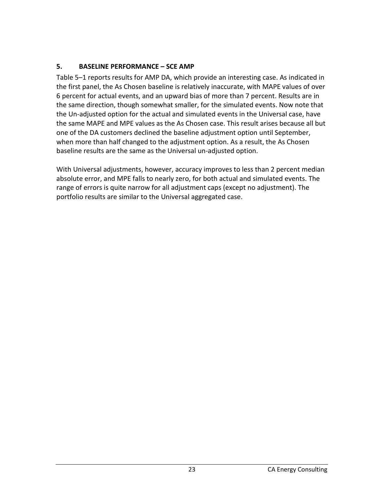# <span id="page-23-0"></span>**5. BASELINE PERFORMANCE – SCE AMP**

Table 5–1 reports results for AMP DA, which provide an interesting case. As indicated in the first panel, the As Chosen baseline is relatively inaccurate, with MAPE values of over 6 percent for actual events, and an upward bias of more than 7 percent. Results are in the same direction, though somewhat smaller, for the simulated events. Now note that the Un-adjusted option for the actual and simulated events in the Universal case, have the same MAPE and MPE values as the As Chosen case. This result arises because all but one of the DA customers declined the baseline adjustment option until September, when more than half changed to the adjustment option. As a result, the As Chosen baseline results are the same as the Universal un-adjusted option.

With Universal adjustments, however, accuracy improves to less than 2 percent median absolute error, and MPE falls to nearly zero, for both actual and simulated events. The range of errors is quite narrow for all adjustment caps (except no adjustment). The portfolio results are similar to the Universal aggregated case.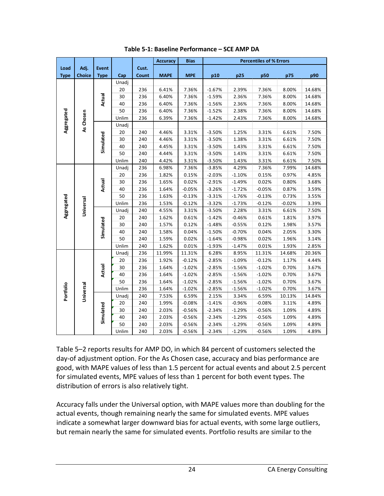<span id="page-24-0"></span>

|                                       |               |              |       |       | <b>Accuracy</b> | <b>Bias</b> | <b>Percentiles of % Errors</b> |          |          |          |        |
|---------------------------------------|---------------|--------------|-------|-------|-----------------|-------------|--------------------------------|----------|----------|----------|--------|
| Load                                  | Adj.          | <b>Event</b> |       | Cust. |                 |             |                                |          |          |          |        |
| <b>Type</b>                           | <b>Choice</b> | <b>Type</b>  | Cap   | Count | <b>MAPE</b>     | <b>MPE</b>  | p10                            | p25      | p50      | p75      | p90    |
|                                       |               |              | Unadj |       |                 |             |                                |          |          |          |        |
|                                       |               |              | 20    | 236   | 6.41%           | 7.36%       | $-1.67%$                       | 2.39%    | 7.36%    | 8.00%    | 14.68% |
|                                       |               | Actual       | 30    | 236   | 6.40%           | 7.36%       | $-1.59%$                       | 2.36%    | 7.36%    | 8.00%    | 14.68% |
| Aggregated<br>Aggregated<br>Portfolio |               |              | 40    | 236   | 6.40%           | 7.36%       | $-1.56%$                       | 2.36%    | 7.36%    | 8.00%    | 14.68% |
|                                       |               |              | 50    | 236   | 6.40%           | 7.36%       | $-1.52%$                       | 2.38%    | 7.36%    | 8.00%    | 14.68% |
|                                       | As Chosen     |              | Unlim | 236   | 6.39%           | 7.36%       | $-1.42%$                       | 2.43%    | 7.36%    | 8.00%    | 14.68% |
|                                       |               |              | Unadj |       |                 |             |                                |          |          |          |        |
|                                       |               |              | 20    | 240   | 4.46%           | 3.31%       | $-3.50%$                       | 1.25%    | 3.31%    | 6.61%    | 7.50%  |
|                                       |               | Simulated    | 30    | 240   | 4.46%           | 3.31%       | $-3.50%$                       | 1.38%    | 3.31%    | 6.61%    | 7.50%  |
|                                       |               |              | 40    | 240   | 4.45%           | 3.31%       | $-3.50%$                       | 1.43%    | 3.31%    | 6.61%    | 7.50%  |
|                                       |               |              | 50    | 240   | 4.44%           | 3.31%       | $-3.50%$                       | 1.43%    | 3.31%    | 6.61%    | 7.50%  |
|                                       |               |              | Unlim | 240   | 4.42%           | 3.31%       | $-3.50%$                       | 1.43%    | 3.31%    | 6.61%    | 7.50%  |
|                                       |               |              | Unadj | 236   | 6.98%           | 7.36%       | $-3.85%$                       | 4.29%    | 7.36%    | 7.99%    | 14.68% |
|                                       |               |              | 20    | 236   | 1.82%           | 0.15%       | $-2.03%$                       | $-1.10%$ | 0.15%    | 0.97%    | 4.85%  |
|                                       |               | Actual       | 30    | 236   | 1.65%           | 0.02%       | $-2.91%$                       | $-1.49%$ | 0.02%    | 0.80%    | 3.68%  |
|                                       |               |              | 40    | 236   | 1.64%           | $-0.05%$    | $-3.26%$                       | $-1.72%$ | $-0.05%$ | 0.87%    | 3.59%  |
|                                       |               |              | 50    | 236   | 1.63%           | $-0.13%$    | $-3.31%$                       | $-1.76%$ | $-0.13%$ | 0.73%    | 3.55%  |
|                                       | Universal     |              | Unlim | 236   | 1.53%           | $-0.12%$    | $-3.32%$                       | $-1.73%$ | $-0.12%$ | $-0.02%$ | 3.39%  |
|                                       |               |              | Unadj | 240   | 4.55%           | 3.31%       | $-3.50%$                       | 2.28%    | 3.31%    | 6.61%    | 7.50%  |
|                                       |               |              | 20    | 240   | 1.62%           | 0.61%       | $-1.42%$                       | $-0.46%$ | 0.61%    | 1.81%    | 3.97%  |
|                                       |               |              | 30    | 240   | 1.57%           | 0.12%       | $-1.48%$                       | $-0.55%$ | 0.12%    | 1.98%    | 3.57%  |
|                                       |               | Simulated    | 40    | 240   | 1.58%           | 0.04%       | $-1.50%$                       | $-0.70%$ | 0.04%    | 2.05%    | 3.30%  |
|                                       |               |              | 50    | 240   | 1.59%           | 0.02%       | $-1.64%$                       | $-0.98%$ | 0.02%    | 1.96%    | 3.14%  |
|                                       |               |              | Unlim | 240   | 1.62%           | 0.01%       | $-1.93%$                       | $-1.47%$ | 0.01%    | 1.93%    | 2.85%  |
|                                       |               |              | Unadj | 236   | 11.99%          | 11.31%      | 6.28%                          | 8.95%    | 11.31%   | 14.68%   | 20.36% |
|                                       |               |              | 20    | 236   | 1.92%           | $-0.12%$    | $-2.85%$                       | $-1.09%$ | $-0.12%$ | 1.17%    | 4.44%  |
|                                       |               | Actual       | 30    | 236   | 1.64%           | $-1.02%$    | $-2.85%$                       | $-1.56%$ | $-1.02%$ | 0.70%    | 3.67%  |
|                                       |               |              | 40    | 236   | 1.64%           | $-1.02%$    | $-2.85%$                       | $-1.56%$ | $-1.02%$ | 0.70%    | 3.67%  |
|                                       |               |              | 50    | 236   | 1.64%           | $-1.02%$    | $-2.85%$                       | $-1.56%$ | $-1.02%$ | 0.70%    | 3.67%  |
|                                       |               |              | Unlim | 236   | 1.64%           | $-1.02%$    | $-2.85%$                       | $-1.56%$ | $-1.02%$ | 0.70%    | 3.67%  |
|                                       | Universal     |              | Unadj | 240   | 7.53%           | 6.59%       | 2.15%                          | 3.34%    | 6.59%    | 10.13%   | 14.84% |
|                                       |               |              | 20    | 240   | 1.99%           | $-0.08%$    | $-1.41%$                       | $-0.96%$ | $-0.08%$ | 3.11%    | 4.89%  |
|                                       |               |              | 30    | 240   | 2.03%           | $-0.56%$    | $-2.34%$                       | $-1.29%$ | $-0.56%$ | 1.09%    | 4.89%  |
|                                       |               | Simulated    | 40    | 240   | 2.03%           | $-0.56%$    | $-2.34%$                       | $-1.29%$ | $-0.56%$ | 1.09%    | 4.89%  |
|                                       |               |              | 50    | 240   | 2.03%           | $-0.56%$    | $-2.34%$                       | $-1.29%$ | $-0.56%$ | 1.09%    | 4.89%  |
|                                       |               |              | Unlim | 240   | 2.03%           | $-0.56%$    | $-2.34%$                       | $-1.29%$ | $-0.56%$ | 1.09%    | 4.89%  |

**Table 5-1: Baseline Performance – SCE AMP DA**

Table 5–2 reports results for AMP DO, in which 84 percent of customers selected the day-of adjustment option. For the As Chosen case, accuracy and bias performance are good, with MAPE values of less than 1.5 percent for actual events and about 2.5 percent for simulated events, MPE values of less than 1 percent for both event types. The distribution of errors is also relatively tight.

Accuracy falls under the Universal option, with MAPE values more than doubling for the actual events, though remaining nearly the same for simulated events. MPE values indicate a somewhat larger downward bias for actual events, with some large outliers, but remain nearly the same for simulated events. Portfolio results are similar to the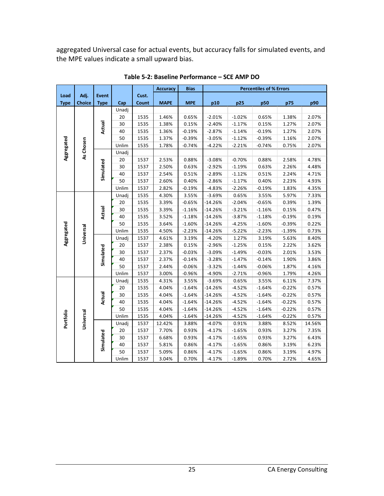aggregated Universal case for actual events, but accuracy falls for simulated events, and the MPE values indicate a small upward bias.

<span id="page-25-0"></span>

|             |                                      |              |       |       | <b>Accuracy</b> | <b>Bias</b> | <b>Percentiles of % Errors</b> |          |          |          |        |
|-------------|--------------------------------------|--------------|-------|-------|-----------------|-------------|--------------------------------|----------|----------|----------|--------|
| Load        | Adj.                                 | <b>Event</b> |       | Cust. |                 |             |                                |          |          |          |        |
| <b>Type</b> | <b>Choice</b>                        | <b>Type</b>  | Cap   | Count | <b>MAPE</b>     | <b>MPE</b>  | p10                            | p25      | p50      | p75      | p90    |
|             |                                      |              | Unadj |       |                 |             |                                |          |          |          |        |
|             |                                      |              | 20    | 1535  | 1.46%           | 0.65%       | $-2.01%$                       | $-1.02%$ | 0.65%    | 1.38%    | 2.07%  |
|             |                                      | Actual       | 30    | 1535  | 1.38%           | 0.15%       | $-2.40%$                       | $-1.17%$ | 0.15%    | 1.27%    | 2.07%  |
| Aggregated  |                                      |              | 40    | 1535  | 1.36%           | $-0.19%$    | $-2.87%$                       | $-1.14%$ | $-0.19%$ | 1.27%    | 2.07%  |
|             |                                      |              | 50    | 1535  | 1.37%           | $-0.39%$    | $-3.05%$                       | $-1.12%$ | $-0.39%$ | 1.16%    | 2.07%  |
|             |                                      |              | Unlim | 1535  | 1.78%           | $-0.74%$    | $-4.22%$                       | $-2.21%$ | $-0.74%$ | 0.75%    | 2.07%  |
|             |                                      |              | Unadj |       |                 |             |                                |          |          |          |        |
|             |                                      |              | 20    | 1537  | 2.53%           | 0.88%       | $-3.08%$                       | $-0.70%$ | 0.88%    | 2.58%    | 4.78%  |
|             | As Chosen<br>Aggregated<br>Universal |              | 30    | 1537  | 2.50%           | 0.63%       | $-2.92%$                       | $-1.19%$ | 0.63%    | 2.26%    | 4.48%  |
|             |                                      | Simulated    | 40    | 1537  | 2.54%           | 0.51%       | $-2.89%$                       | $-1.12%$ | 0.51%    | 2.24%    | 4.71%  |
|             |                                      |              | 50    | 1537  | 2.60%           | 0.40%       | $-2.86%$                       | $-1.17%$ | 0.40%    | 2.23%    | 4.93%  |
|             |                                      |              | Unlim | 1537  | 2.82%           | $-0.19%$    | $-4.83%$                       | $-2.26%$ | $-0.19%$ | 1.83%    | 4.35%  |
|             |                                      |              | Unadj | 1535  | 4.30%           | 3.55%       | $-3.69%$                       | 0.65%    | 3.55%    | 5.97%    | 7.33%  |
|             |                                      |              | 20    | 1535  | 3.39%           | $-0.65%$    | $-14.26%$                      | $-2.04%$ | $-0.65%$ | 0.39%    | 1.39%  |
|             |                                      | Actual       | 30    | 1535  | 3.39%           | $-1.16%$    | $-14.26%$                      | $-3.21%$ | $-1.16%$ | 0.15%    | 0.47%  |
|             |                                      |              | 40    | 1535  | 3.52%           | $-1.18%$    | $-14.26%$                      | $-3.87%$ | $-1.18%$ | $-0.19%$ | 0.19%  |
|             |                                      |              | 50    | 1535  | 3.64%           | $-1.60%$    | $-14.26%$                      | $-4.25%$ | $-1.60%$ | $-0.39%$ | 0.22%  |
|             |                                      |              | Unlim | 1535  | 4.50%           | $-2.23%$    | $-14.26%$                      | $-5.22%$ | $-2.23%$ | $-1.39%$ | 0.73%  |
|             |                                      |              | Unadj | 1537  | 4.61%           | 3.19%       | $-4.20%$                       | 1.27%    | 3.19%    | 5.63%    | 8.40%  |
|             |                                      |              | 20    | 1537  | 2.38%           | 0.15%       | $-2.96%$                       | $-1.25%$ | 0.15%    | 2.22%    | 3.62%  |
|             |                                      | Simulated    | 30    | 1537  | 2.37%           | $-0.03%$    | $-3.09%$                       | $-1.49%$ | $-0.03%$ | 2.01%    | 3.53%  |
|             |                                      |              | 40    | 1537  | 2.37%           | $-0.14%$    | $-3.28%$                       | $-1.47%$ | $-0.14%$ | 1.90%    | 3.86%  |
|             |                                      |              | 50    | 1537  | 2.44%           | $-0.06%$    | $-3.32%$                       | $-1.44%$ | $-0.06%$ | 1.87%    | 4.16%  |
|             |                                      |              | Unlim | 1537  | 3.00%           | $-0.96%$    | $-4.90%$                       | $-2.71%$ | $-0.96%$ | 1.79%    | 4.26%  |
|             |                                      |              | Unadj | 1535  | 4.31%           | 3.55%       | $-3.69%$                       | 0.65%    | 3.55%    | 6.11%    | 7.37%  |
|             |                                      |              | 20    | 1535  | 4.04%           | $-1.64%$    | $-14.26%$                      | $-4.52%$ | $-1.64%$ | $-0.22%$ | 0.57%  |
|             |                                      | Actual       | 30    | 1535  | 4.04%           | $-1.64%$    | $-14.26%$                      | $-4.52%$ | $-1.64%$ | $-0.22%$ | 0.57%  |
|             |                                      |              | 40    | 1535  | 4.04%           | $-1.64%$    | $-14.26%$                      | $-4.52%$ | $-1.64%$ | $-0.22%$ | 0.57%  |
|             |                                      |              | 50    | 1535  | 4.04%           | $-1.64%$    | $-14.26%$                      | $-4.52%$ | $-1.64%$ | $-0.22%$ | 0.57%  |
|             |                                      |              | Unlim | 1535  | 4.04%           | $-1.64%$    | $-14.26%$                      | $-4.52%$ | $-1.64%$ | $-0.22%$ | 0.57%  |
| Portfolio   | Universal                            |              | Unadj | 1537  | 12.42%          | 3.88%       | $-4.07%$                       | 0.91%    | 3.88%    | 8.52%    | 14.56% |
|             |                                      |              | 20    | 1537  | 7.70%           | 0.93%       | $-4.17%$                       | $-1.65%$ | 0.93%    | 3.27%    | 7.35%  |
|             |                                      |              | 30    | 1537  | 6.68%           | 0.93%       | $-4.17%$                       | $-1.65%$ | 0.93%    | 3.27%    | 6.43%  |
|             |                                      | Simulated    | 40    | 1537  | 5.81%           | 0.86%       | $-4.17%$                       | $-1.65%$ | 0.86%    | 3.19%    | 6.23%  |
|             |                                      |              | 50    | 1537  | 5.09%           | 0.86%       | $-4.17%$                       | $-1.65%$ | 0.86%    | 3.19%    | 4.97%  |
|             |                                      |              | Unlim | 1537  | 3.04%           | 0.70%       | $-4.17%$                       | $-1.89%$ | 0.70%    | 2.72%    | 4.65%  |

**Table 5-2: Baseline Performance – SCE AMP DO**